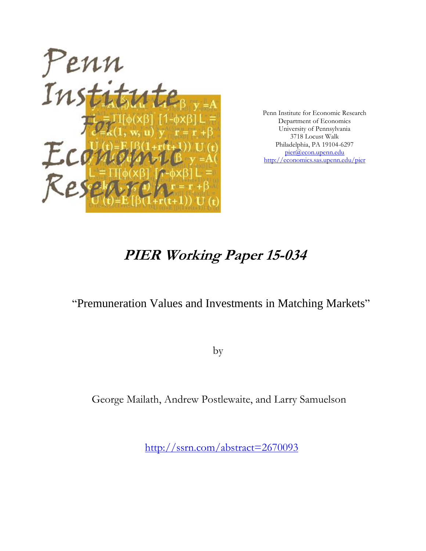

Penn Institute for Economic Research Department of Economics University of Pennsylvania 3718 Locust Walk Philadelphia, PA 19104-6297 [pier@econ.upenn.edu](mailto:pier@econ.upenn.edu) <http://economics.sas.upenn.edu/pier>

# **PIER Working Paper 15-034**

## "Premuneration Values and Investments in Matching Markets"

by

George Mailath, Andrew Postlewaite, and Larry Samuelson

[http://ssrn.com/abstract=2](http://ssrn.com/abstract_id=)670093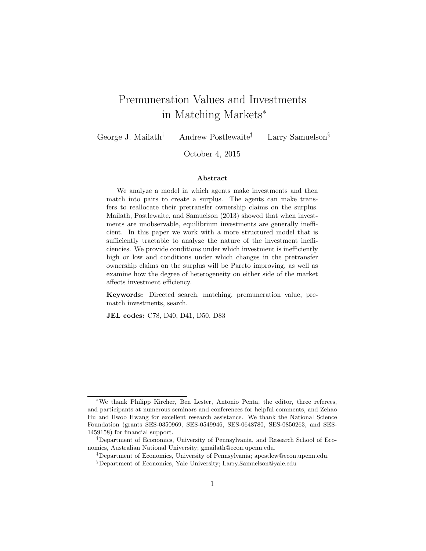## Premuneration Values and Investments in Matching Markets<sup>∗</sup>

George J. Mailath<sup>†</sup> Andrew Postlewaite<sup>‡</sup> Larry Samuelson<sup>§</sup>

## Abstract

October 4, 2015

We analyze a model in which agents make investments and then match into pairs to create a surplus. The agents can make transfers to reallocate their pretransfer ownership claims on the surplus. Mailath, Postlewaite, and Samuelson (2013) showed that when investments are unobservable, equilibrium investments are generally inefficient. In this paper we work with a more structured model that is sufficiently tractable to analyze the nature of the investment inefficiencies. We provide conditions under which investment is inefficiently high or low and conditions under which changes in the pretransfer ownership claims on the surplus will be Pareto improving, as well as examine how the degree of heterogeneity on either side of the market affects investment efficiency.

Keywords: Directed search, matching, premuneration value, prematch investments, search.

JEL codes: C78, D40, D41, D50, D83

<sup>∗</sup>We thank Philipp Kircher, Ben Lester, Antonio Penta, the editor, three referees, and participants at numerous seminars and conferences for helpful comments, and Zehao Hu and Ilwoo Hwang for excellent research assistance. We thank the National Science Foundation (grants SES-0350969, SES-0549946, SES-0648780, SES-0850263, and SES-1459158) for financial support.

<sup>†</sup>Department of Economics, University of Pennsylvania, and Research School of Economics, Australian National University; gmailath@econ.upenn.edu.

<sup>‡</sup>Department of Economics, University of Pennsylvania; apostlew@econ.upenn.edu.

<sup>§</sup>Department of Economics, Yale University; Larry.Samuelson@yale.edu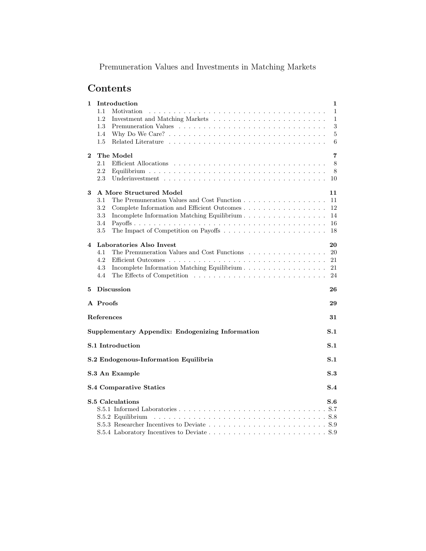Premuneration Values and Investments in Matching Markets

## Contents

| 1                                                       | Introduction                                                                                                                       | $\mathbf{1}$ |  |
|---------------------------------------------------------|------------------------------------------------------------------------------------------------------------------------------------|--------------|--|
|                                                         | 1.1<br>Motivation                                                                                                                  | 1            |  |
|                                                         | 1.2                                                                                                                                | 1            |  |
|                                                         | 1.3<br>Premuneration Values                                                                                                        | 3            |  |
|                                                         | 1.4                                                                                                                                | 5            |  |
|                                                         | 1.5                                                                                                                                | 6            |  |
| $\bf{2}$                                                | The Model                                                                                                                          | 7            |  |
|                                                         | 2.1                                                                                                                                | 8            |  |
|                                                         | $2.2\,$                                                                                                                            | 8            |  |
|                                                         | 2.3<br>Underinvestment $\ldots$ $\ldots$ $\ldots$ $\ldots$ $\ldots$ $\ldots$ $\ldots$ $\ldots$ $\ldots$ $\ldots$ $\ldots$ $\ldots$ | 10           |  |
|                                                         |                                                                                                                                    |              |  |
| 3                                                       | A More Structured Model                                                                                                            | 11           |  |
|                                                         | 3.1<br>The Premuneration Values and Cost Function                                                                                  | 11           |  |
|                                                         | 3.2<br>Complete Information and Efficient Outcomes                                                                                 | 12           |  |
|                                                         | 3.3<br>Incomplete Information Matching Equilibrium                                                                                 | 14           |  |
|                                                         | 3.4                                                                                                                                | 16           |  |
|                                                         | The Impact of Competition on Payoffs $\dots \dots \dots \dots \dots \dots \dots \dots$<br>3.5                                      | 18           |  |
| 4                                                       | Laboratories Also Invest                                                                                                           | 20           |  |
|                                                         | The Premuneration Values and Cost Functions<br>4.1                                                                                 | 20           |  |
|                                                         | 4.2                                                                                                                                | 21           |  |
|                                                         | 4.3                                                                                                                                | 21           |  |
|                                                         | 4.4                                                                                                                                | 24           |  |
|                                                         |                                                                                                                                    |              |  |
| 5                                                       | <b>Discussion</b>                                                                                                                  | 26           |  |
|                                                         | A Proofs                                                                                                                           | 29           |  |
| References<br>31                                        |                                                                                                                                    |              |  |
| S.1<br>Supplementary Appendix: Endogenizing Information |                                                                                                                                    |              |  |
| S.1 Introduction                                        |                                                                                                                                    | S.1          |  |
|                                                         |                                                                                                                                    |              |  |
|                                                         | S.2 Endogenous-Information Equilibria                                                                                              | S.1          |  |
|                                                         | S.3 An Example                                                                                                                     | S.3          |  |
| S.4<br><b>S.4 Comparative Statics</b>                   |                                                                                                                                    |              |  |
|                                                         | S.5 Calculations<br>S.6                                                                                                            |              |  |
|                                                         |                                                                                                                                    |              |  |
|                                                         | S.5.2 Equilibrium                                                                                                                  | S.8          |  |
|                                                         |                                                                                                                                    |              |  |
|                                                         |                                                                                                                                    |              |  |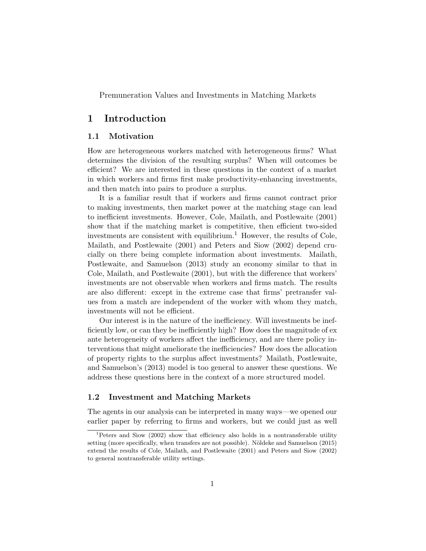Premuneration Values and Investments in Matching Markets

## 1 Introduction

#### 1.1 Motivation

How are heterogeneous workers matched with heterogeneous firms? What determines the division of the resulting surplus? When will outcomes be efficient? We are interested in these questions in the context of a market in which workers and firms first make productivity-enhancing investments, and then match into pairs to produce a surplus.

It is a familiar result that if workers and firms cannot contract prior to making investments, then market power at the matching stage can lead to inefficient investments. However, Cole, Mailath, and Postlewaite (2001) show that if the matching market is competitive, then efficient two-sided investments are consistent with equilibrium.<sup>1</sup> However, the results of Cole, Mailath, and Postlewaite (2001) and Peters and Siow (2002) depend crucially on there being complete information about investments. Mailath, Postlewaite, and Samuelson (2013) study an economy similar to that in Cole, Mailath, and Postlewaite (2001), but with the difference that workers' investments are not observable when workers and firms match. The results are also different: except in the extreme case that firms' pretransfer values from a match are independent of the worker with whom they match, investments will not be efficient.

Our interest is in the nature of the inefficiency. Will investments be inefficiently low, or can they be inefficiently high? How does the magnitude of ex ante heterogeneity of workers affect the inefficiency, and are there policy interventions that might ameliorate the inefficiencies? How does the allocation of property rights to the surplus affect investments? Mailath, Postlewaite, and Samuelson's (2013) model is too general to answer these questions. We address these questions here in the context of a more structured model.

#### 1.2 Investment and Matching Markets

The agents in our analysis can be interpreted in many ways—we opened our earlier paper by referring to firms and workers, but we could just as well

<sup>1</sup>Peters and Siow (2002) show that efficiency also holds in a nontransferable utility setting (more specifically, when transfers are not possible). Nöldeke and Samuelson (2015) extend the results of Cole, Mailath, and Postlewaite (2001) and Peters and Siow (2002) to general nontransferable utility settings.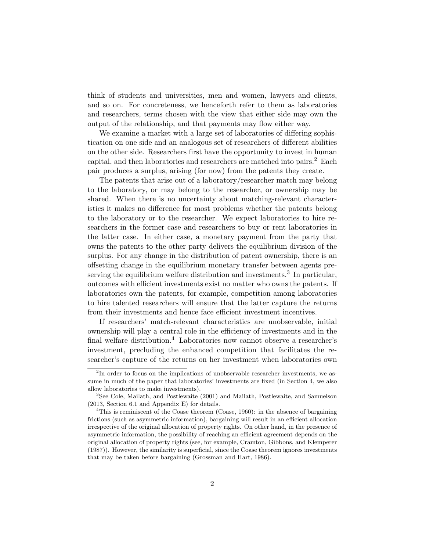think of students and universities, men and women, lawyers and clients, and so on. For concreteness, we henceforth refer to them as laboratories and researchers, terms chosen with the view that either side may own the output of the relationship, and that payments may flow either way.

We examine a market with a large set of laboratories of differing sophistication on one side and an analogous set of researchers of different abilities on the other side. Researchers first have the opportunity to invest in human capital, and then laboratories and researchers are matched into pairs.<sup>2</sup> Each pair produces a surplus, arising (for now) from the patents they create.

The patents that arise out of a laboratory/researcher match may belong to the laboratory, or may belong to the researcher, or ownership may be shared. When there is no uncertainty about matching-relevant characteristics it makes no difference for most problems whether the patents belong to the laboratory or to the researcher. We expect laboratories to hire researchers in the former case and researchers to buy or rent laboratories in the latter case. In either case, a monetary payment from the party that owns the patents to the other party delivers the equilibrium division of the surplus. For any change in the distribution of patent ownership, there is an offsetting change in the equilibrium monetary transfer between agents preserving the equilibrium welfare distribution and investments.<sup>3</sup> In particular, outcomes with efficient investments exist no matter who owns the patents. If laboratories own the patents, for example, competition among laboratories to hire talented researchers will ensure that the latter capture the returns from their investments and hence face efficient investment incentives.

If researchers' match-relevant characteristics are unobservable, initial ownership will play a central role in the efficiency of investments and in the final welfare distribution.<sup>4</sup> Laboratories now cannot observe a researcher's investment, precluding the enhanced competition that facilitates the researcher's capture of the returns on her investment when laboratories own

<sup>&</sup>lt;sup>2</sup>In order to focus on the implications of unobservable researcher investments, we assume in much of the paper that laboratories' investments are fixed (in Section 4, we also allow laboratories to make investments).

<sup>3</sup>See Cole, Mailath, and Postlewaite (2001) and Mailath, Postlewaite, and Samuelson (2013, Section 6.1 and Appendix E) for details.

<sup>&</sup>lt;sup>4</sup>This is reminiscent of the Coase theorem (Coase, 1960): in the absence of bargaining frictions (such as asymmetric information), bargaining will result in an efficient allocation irrespective of the original allocation of property rights. On other hand, in the presence of asymmetric information, the possibility of reaching an efficient agreement depends on the original allocation of property rights (see, for example, Cramton, Gibbons, and Klemperer (1987)). However, the similarity is superficial, since the Coase theorem ignores investments that may be taken before bargaining (Grossman and Hart, 1986).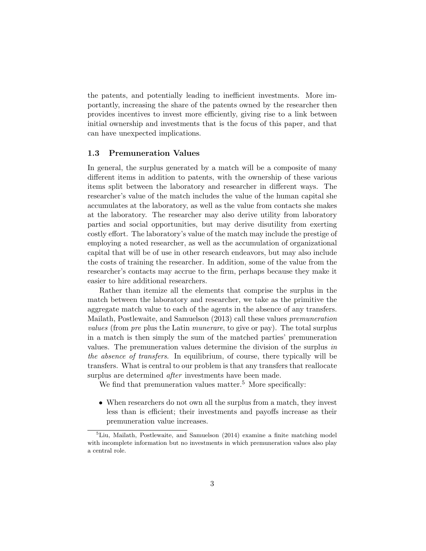the patents, and potentially leading to inefficient investments. More importantly, increasing the share of the patents owned by the researcher then provides incentives to invest more efficiently, giving rise to a link between initial ownership and investments that is the focus of this paper, and that can have unexpected implications.

#### 1.3 Premuneration Values

In general, the surplus generated by a match will be a composite of many different items in addition to patents, with the ownership of these various items split between the laboratory and researcher in different ways. The researcher's value of the match includes the value of the human capital she accumulates at the laboratory, as well as the value from contacts she makes at the laboratory. The researcher may also derive utility from laboratory parties and social opportunities, but may derive disutility from exerting costly effort. The laboratory's value of the match may include the prestige of employing a noted researcher, as well as the accumulation of organizational capital that will be of use in other research endeavors, but may also include the costs of training the researcher. In addition, some of the value from the researcher's contacts may accrue to the firm, perhaps because they make it easier to hire additional researchers.

Rather than itemize all the elements that comprise the surplus in the match between the laboratory and researcher, we take as the primitive the aggregate match value to each of the agents in the absence of any transfers. Mailath, Postlewaite, and Samuelson (2013) call these values premuneration values (from pre plus the Latin munerare, to give or pay). The total surplus in a match is then simply the sum of the matched parties' premuneration values. The premuneration values determine the division of the surplus in the absence of transfers. In equilibrium, of course, there typically will be transfers. What is central to our problem is that any transfers that reallocate surplus are determined *after* investments have been made.

We find that premuneration values matter.<sup>5</sup> More specifically:

• When researchers do not own all the surplus from a match, they invest less than is efficient; their investments and payoffs increase as their premuneration value increases.

 ${}^{5}$ Liu, Mailath, Postlewaite, and Samuelson (2014) examine a finite matching model with incomplete information but no investments in which premuneration values also play a central role.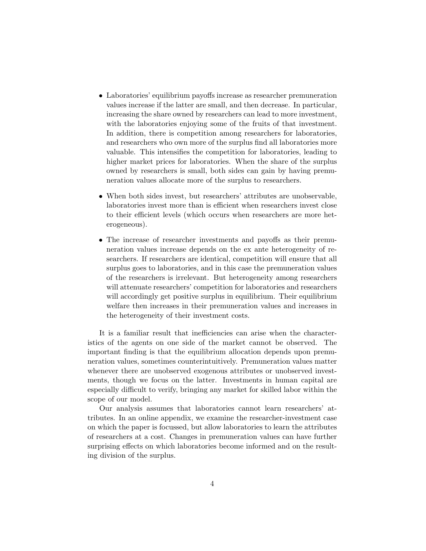- Laboratories' equilibrium payoffs increase as researcher premuneration values increase if the latter are small, and then decrease. In particular, increasing the share owned by researchers can lead to more investment, with the laboratories enjoying some of the fruits of that investment. In addition, there is competition among researchers for laboratories, and researchers who own more of the surplus find all laboratories more valuable. This intensifies the competition for laboratories, leading to higher market prices for laboratories. When the share of the surplus owned by researchers is small, both sides can gain by having premuneration values allocate more of the surplus to researchers.
- When both sides invest, but researchers' attributes are unobservable, laboratories invest more than is efficient when researchers invest close to their efficient levels (which occurs when researchers are more heterogeneous).
- The increase of researcher investments and payoffs as their premuneration values increase depends on the ex ante heterogeneity of researchers. If researchers are identical, competition will ensure that all surplus goes to laboratories, and in this case the premuneration values of the researchers is irrelevant. But heterogeneity among researchers will attenuate researchers' competition for laboratories and researchers will accordingly get positive surplus in equilibrium. Their equilibrium welfare then increases in their premuneration values and increases in the heterogeneity of their investment costs.

It is a familiar result that inefficiencies can arise when the characteristics of the agents on one side of the market cannot be observed. The important finding is that the equilibrium allocation depends upon premuneration values, sometimes counterintuitively. Premuneration values matter whenever there are unobserved exogenous attributes or unobserved investments, though we focus on the latter. Investments in human capital are especially difficult to verify, bringing any market for skilled labor within the scope of our model.

Our analysis assumes that laboratories cannot learn researchers' attributes. In an online appendix, we examine the researcher-investment case on which the paper is focussed, but allow laboratories to learn the attributes of researchers at a cost. Changes in premuneration values can have further surprising effects on which laboratories become informed and on the resulting division of the surplus.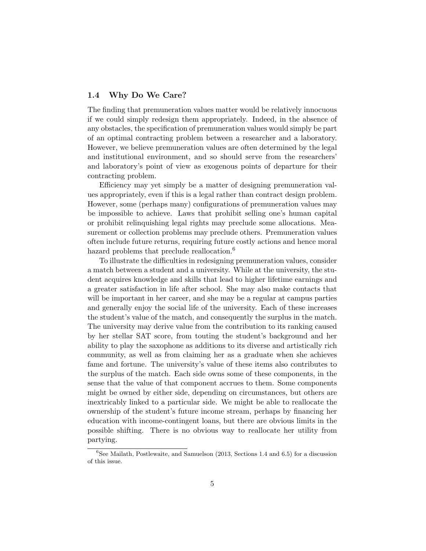#### 1.4 Why Do We Care?

The finding that premuneration values matter would be relatively innocuous if we could simply redesign them appropriately. Indeed, in the absence of any obstacles, the specification of premuneration values would simply be part of an optimal contracting problem between a researcher and a laboratory. However, we believe premuneration values are often determined by the legal and institutional environment, and so should serve from the researchers' and laboratory's point of view as exogenous points of departure for their contracting problem.

Efficiency may yet simply be a matter of designing premuneration values appropriately, even if this is a legal rather than contract design problem. However, some (perhaps many) configurations of premuneration values may be impossible to achieve. Laws that prohibit selling one's human capital or prohibit relinquishing legal rights may preclude some allocations. Measurement or collection problems may preclude others. Premuneration values often include future returns, requiring future costly actions and hence moral hazard problems that preclude reallocation.<sup>6</sup>

To illustrate the difficulties in redesigning premuneration values, consider a match between a student and a university. While at the university, the student acquires knowledge and skills that lead to higher lifetime earnings and a greater satisfaction in life after school. She may also make contacts that will be important in her career, and she may be a regular at campus parties and generally enjoy the social life of the university. Each of these increases the student's value of the match, and consequently the surplus in the match. The university may derive value from the contribution to its ranking caused by her stellar SAT score, from touting the student's background and her ability to play the saxophone as additions to its diverse and artistically rich community, as well as from claiming her as a graduate when she achieves fame and fortune. The university's value of these items also contributes to the surplus of the match. Each side owns some of these components, in the sense that the value of that component accrues to them. Some components might be owned by either side, depending on circumstances, but others are inextricably linked to a particular side. We might be able to reallocate the ownership of the student's future income stream, perhaps by financing her education with income-contingent loans, but there are obvious limits in the possible shifting. There is no obvious way to reallocate her utility from partying.

 ${}^{6}$ See Mailath, Postlewaite, and Samuelson (2013, Sections 1.4 and 6.5) for a discussion of this issue.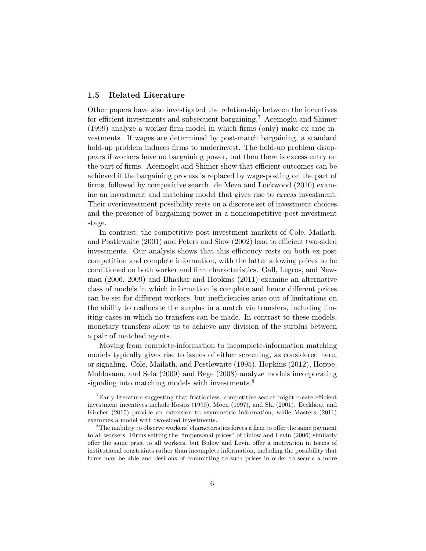#### 1.5 Related Literature

Other papers have also investigated the relationship between the incentives for efficient investments and subsequent bargaining.<sup>7</sup> Acemoglu and Shimer (1999) analyze a worker-firm model in which firms (only) make ex ante investments. If wages are determined by post-match bargaining, a standard hold-up problem induces firms to underinvest. The hold-up problem disappears if workers have no bargaining power, but then there is excess entry on the part of firms. Acemoglu and Shimer show that efficient outcomes can be achieved if the bargaining process is replaced by wage-posting on the part of firms, followed by competitive search. de Meza and Lockwood (2010) examine an investment and matching model that gives rise to excess investment. Their overinvestment possibility rests on a discrete set of investment choices and the presence of bargaining power in a noncompetitive post-investment stage.

In contrast, the competitive post-investment markets of Cole, Mailath, and Postlewaite (2001) and Peters and Siow (2002) lead to efficient two-sided investments. Our analysis shows that this efficiency rests on both ex post competition and complete information, with the latter allowing prices to be conditioned on both worker and firm characteristics. Gall, Legros, and Newman (2006, 2009) and Bhaskar and Hopkins (2011) examine an alternative class of models in which information is complete and hence different prices can be set for different workers, but inefficiencies arise out of limitations on the ability to reallocate the surplus in a match via transfers, including limiting cases in which no transfers can be made. In contrast to these models, monetary transfers allow us to achieve any division of the surplus between a pair of matched agents.

Moving from complete-information to incomplete-information matching models typically gives rise to issues of either screening, as considered here, or signaling. Cole, Mailath, and Postlewaite (1995), Hopkins (2012), Hoppe, Moldovanu, and Sela (2009) and Rege (2008) analyze models incorporating signaling into matching models with investments.<sup>8</sup>

<sup>&</sup>lt;sup>7</sup>Early literature suggesting that frictionless, competitive search might create efficient investment incentives include Hosios (1990), Moen (1997), and Shi (2001). Eeckhout and Kircher (2010) provide an extension to asymmetric information, while Masters (2011) examines a model with two-sided investments.

<sup>&</sup>lt;sup>8</sup>The inability to observe workers' characteristics forces a firm to offer the same payment to all workers. Firms setting the "impersonal prices" of Bulow and Levin (2006) similarly offer the same price to all workers, but Bulow and Levin offer a motivation in terms of institutional constraints rather than incomplete information, including the possibility that firms may be able and desirous of committing to such prices in order to secure a more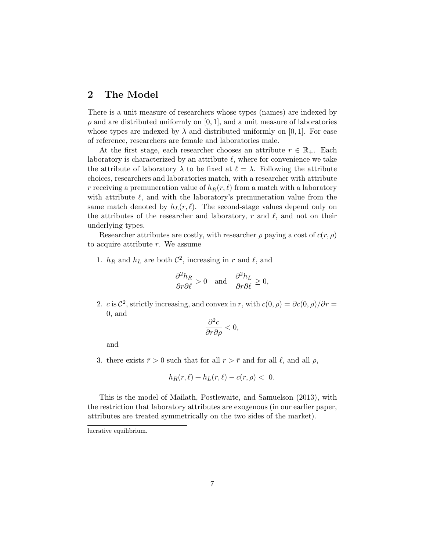## 2 The Model

There is a unit measure of researchers whose types (names) are indexed by  $\rho$  and are distributed uniformly on [0, 1], and a unit measure of laboratories whose types are indexed by  $\lambda$  and distributed uniformly on [0, 1]. For ease of reference, researchers are female and laboratories male.

At the first stage, each researcher chooses an attribute  $r \in \mathbb{R}_+$ . Each laboratory is characterized by an attribute  $\ell$ , where for convenience we take the attribute of laboratory  $\lambda$  to be fixed at  $\ell = \lambda$ . Following the attribute choices, researchers and laboratories match, with a researcher with attribute r receiving a premuneration value of  $h_R(r, \ell)$  from a match with a laboratory with attribute  $\ell$ , and with the laboratory's premuneration value from the same match denoted by  $h_L(r, \ell)$ . The second-stage values depend only on the attributes of the researcher and laboratory, r and  $\ell$ , and not on their underlying types.

Researcher attributes are costly, with researcher  $\rho$  paying a cost of  $c(r, \rho)$ to acquire attribute  $r$ . We assume

1.  $h_R$  and  $h_L$  are both  $\mathcal{C}^2$ , increasing in r and  $\ell$ , and

$$
\frac{\partial^2 h_R}{\partial r \partial \ell} > 0 \quad \text{and} \quad \frac{\partial^2 h_L}{\partial r \partial \ell} \ge 0,
$$

2. c is  $C^2$ , strictly increasing, and convex in r, with  $c(0, \rho) = \partial c(0, \rho)/\partial r =$ 0, and

$$
\frac{\partial^2 c}{\partial r \partial \rho} < 0,
$$

and

3. there exists  $\bar{r} > 0$  such that for all  $r > \bar{r}$  and for all  $\ell$ , and all  $\rho$ ,

$$
h_R(r,\ell) + h_L(r,\ell) - c(r,\rho) < 0.
$$

This is the model of Mailath, Postlewaite, and Samuelson (2013), with the restriction that laboratory attributes are exogenous (in our earlier paper, attributes are treated symmetrically on the two sides of the market).

lucrative equilibrium.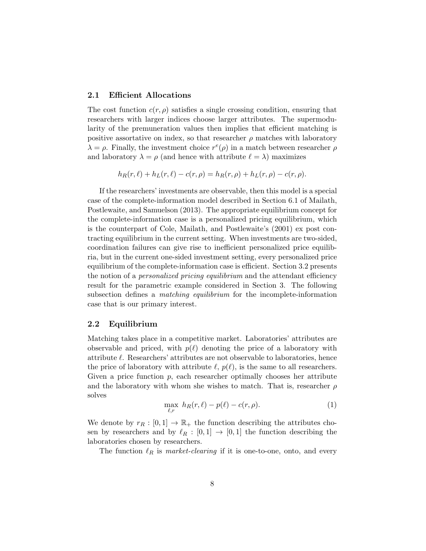#### 2.1 Efficient Allocations

The cost function  $c(r, \rho)$  satisfies a single crossing condition, ensuring that researchers with larger indices choose larger attributes. The supermodularity of the premuneration values then implies that efficient matching is positive assortative on index, so that researcher  $\rho$  matches with laboratory  $\lambda = \rho$ . Finally, the investment choice  $r^e(\rho)$  in a match between researcher  $\rho$ and laboratory  $\lambda = \rho$  (and hence with attribute  $\ell = \lambda$ ) maximizes

$$
h_R(r, \ell) + h_L(r, \ell) - c(r, \rho) = h_R(r, \rho) + h_L(r, \rho) - c(r, \rho).
$$

If the researchers' investments are observable, then this model is a special case of the complete-information model described in Section 6.1 of Mailath, Postlewaite, and Samuelson (2013). The appropriate equilibrium concept for the complete-information case is a personalized pricing equilibrium, which is the counterpart of Cole, Mailath, and Postlewaite's (2001) ex post contracting equilibrium in the current setting. When investments are two-sided, coordination failures can give rise to inefficient personalized price equilibria, but in the current one-sided investment setting, every personalized price equilibrium of the complete-information case is efficient. Section 3.2 presents the notion of a *personalized pricing equilibrium* and the attendant efficiency result for the parametric example considered in Section 3. The following subsection defines a matching equilibrium for the incomplete-information case that is our primary interest.

#### 2.2 Equilibrium

Matching takes place in a competitive market. Laboratories' attributes are observable and priced, with  $p(\ell)$  denoting the price of a laboratory with attribute  $\ell$ . Researchers' attributes are not observable to laboratories, hence the price of laboratory with attribute  $\ell$ ,  $p(\ell)$ , is the same to all researchers. Given a price function  $p$ , each researcher optimally chooses her attribute and the laboratory with whom she wishes to match. That is, researcher  $\rho$ solves

$$
\max_{\ell,r} h_R(r,\ell) - p(\ell) - c(r,\rho). \tag{1}
$$

We denote by  $r_R : [0,1] \to \mathbb{R}_+$  the function describing the attributes chosen by researchers and by  $\ell_R : [0, 1] \to [0, 1]$  the function describing the laboratories chosen by researchers.

The function  $\ell_R$  is *market-clearing* if it is one-to-one, onto, and every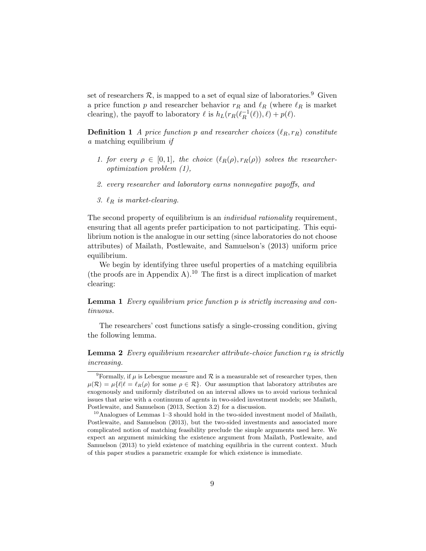set of researchers  $\mathcal{R}$ , is mapped to a set of equal size of laboratories.<sup>9</sup> Given a price function p and researcher behavior  $r_R$  and  $\ell_R$  (where  $\ell_R$  is market clearing), the payoff to laboratory  $\ell$  is  $h_L(r_R(\ell_R^{-1}(\ell)), \ell) + p(\ell)$ .

**Definition 1** A price function p and researcher choices  $(\ell_R, r_R)$  constitute a matching equilibrium if

- 1. for every  $\rho \in [0,1]$ , the choice  $(\ell_R(\rho), r_R(\rho))$  solves the researcheroptimization problem (1),
- 2. every researcher and laboratory earns nonnegative payoffs, and
- 3.  $\ell_R$  is market-clearing.

The second property of equilibrium is an *individual rationality* requirement, ensuring that all agents prefer participation to not participating. This equilibrium notion is the analogue in our setting (since laboratories do not choose attributes) of Mailath, Postlewaite, and Samuelson's (2013) uniform price equilibrium.

We begin by identifying three useful properties of a matching equilibria (the proofs are in Appendix A).<sup>10</sup> The first is a direct implication of market clearing:

Lemma 1 Every equilibrium price function p is strictly increasing and continuous.

The researchers' cost functions satisfy a single-crossing condition, giving the following lemma.

**Lemma 2** Every equilibrium researcher attribute-choice function  $r_R$  is strictly increasing.

<sup>&</sup>lt;sup>9</sup>Formally, if  $\mu$  is Lebesgue measure and  $\mathcal R$  is a measurable set of researcher types, then  $\mu(\mathcal{R}) = \mu\{\ell | \ell = \ell_R(\rho) \text{ for some } \rho \in \mathcal{R}\}\.$  Our assumption that laboratory attributes are exogenously and uniformly distributed on an interval allows us to avoid various technical issues that arise with a continuum of agents in two-sided investment models; see Mailath, Postlewaite, and Samuelson (2013, Section 3.2) for a discussion.

<sup>10</sup>Analogues of Lemmas 1–3 should hold in the two-sided investment model of Mailath, Postlewaite, and Samuelson (2013), but the two-sided investments and associated more complicated notion of matching feasibility preclude the simple arguments used here. We expect an argument mimicking the existence argument from Mailath, Postlewaite, and Samuelson (2013) to yield existence of matching equilibria in the current context. Much of this paper studies a parametric example for which existence is immediate.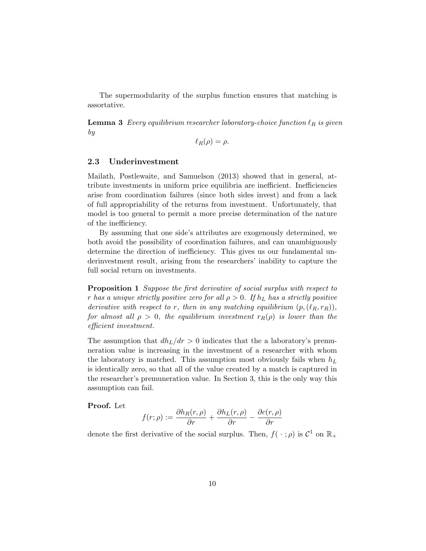The supermodularity of the surplus function ensures that matching is assortative.

**Lemma 3** Every equilibrium researcher laboratory-choice function  $\ell_R$  is given by

$$
\ell_R(\rho)=\rho.
$$

#### 2.3 Underinvestment

Mailath, Postlewaite, and Samuelson (2013) showed that in general, attribute investments in uniform price equilibria are inefficient. Inefficiencies arise from coordination failures (since both sides invest) and from a lack of full appropriability of the returns from investment. Unfortunately, that model is too general to permit a more precise determination of the nature of the inefficiency.

By assuming that one side's attributes are exogenously determined, we both avoid the possibility of coordination failures, and can unambiguously determine the direction of inefficiency. This gives us our fundamental underinvestment result, arising from the researchers' inability to capture the full social return on investments.

**Proposition 1** Suppose the first derivative of social surplus with respect to r has a unique strictly positive zero for all  $\rho > 0$ . If  $h_L$  has a strictly positive derivative with respect to r, then in any matching equilibrium  $(p,(\ell_R, r_R)),$ for almost all  $\rho > 0$ , the equilibrium investment  $r_R(\rho)$  is lower than the efficient investment.

The assumption that  $dh_L/dr > 0$  indicates that the a laboratory's premuneration value is increasing in the investment of a researcher with whom the laboratory is matched. This assumption most obviously fails when  $h_L$ is identically zero, so that all of the value created by a match is captured in the researcher's premuneration value. In Section 3, this is the only way this assumption can fail.

Proof. Let

$$
f(r; \rho) := \frac{\partial h_R(r, \rho)}{\partial r} + \frac{\partial h_L(r, \rho)}{\partial r} - \frac{\partial c(r, \rho)}{\partial r}
$$

denote the first derivative of the social surplus. Then,  $f(\cdot;\rho)$  is  $\mathcal{C}^1$  on  $\mathbb{R}_+$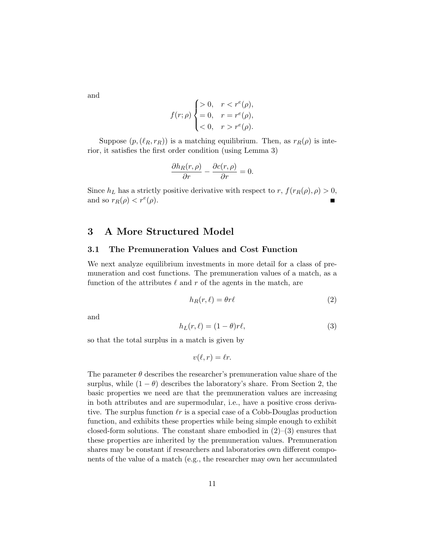and

$$
f(r; \rho) \begin{cases} > 0, & r < r^e(\rho), \\ = 0, & r = r^e(\rho), \\ < 0, & r > r^e(\rho). \end{cases}
$$

Suppose  $(p,(\ell_R, r_R))$  is a matching equilibrium. Then, as  $r_R(\rho)$  is interior, it satisfies the first order condition (using Lemma 3)

$$
\frac{\partial h_R(r,\rho)}{\partial r} - \frac{\partial c(r,\rho)}{\partial r} = 0.
$$

Since  $h_L$  has a strictly positive derivative with respect to r,  $f(r_R(\rho), \rho) > 0$ , and so  $r_R(\rho) < r^e(\rho)$ .

### 3 A More Structured Model

#### 3.1 The Premuneration Values and Cost Function

We next analyze equilibrium investments in more detail for a class of premuneration and cost functions. The premuneration values of a match, as a function of the attributes  $\ell$  and r of the agents in the match, are

$$
h_R(r,\ell) = \theta r \ell \tag{2}
$$

and

$$
h_L(r,\ell) = (1 - \theta)r\ell,\tag{3}
$$

so that the total surplus in a match is given by

$$
v(\ell,r)=\ell r.
$$

The parameter  $\theta$  describes the researcher's premuneration value share of the surplus, while  $(1 - \theta)$  describes the laboratory's share. From Section 2, the basic properties we need are that the premuneration values are increasing in both attributes and are supermodular, i.e., have a positive cross derivative. The surplus function  $\ell r$  is a special case of a Cobb-Douglas production function, and exhibits these properties while being simple enough to exhibit closed-form solutions. The constant share embodied in  $(2)$ – $(3)$  ensures that these properties are inherited by the premuneration values. Premuneration shares may be constant if researchers and laboratories own different components of the value of a match (e.g., the researcher may own her accumulated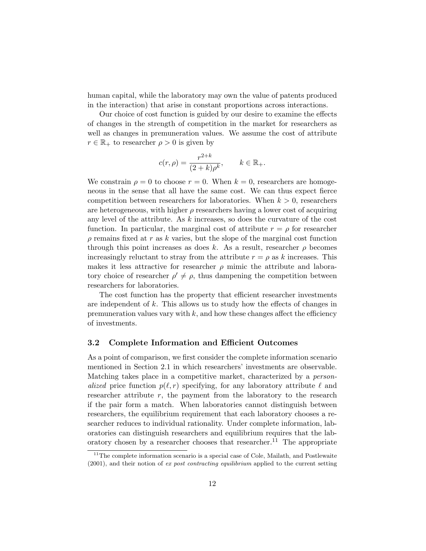human capital, while the laboratory may own the value of patents produced in the interaction) that arise in constant proportions across interactions.

Our choice of cost function is guided by our desire to examine the effects of changes in the strength of competition in the market for researchers as well as changes in premuneration values. We assume the cost of attribute  $r \in \mathbb{R}_+$  to researcher  $\rho > 0$  is given by

$$
c(r,\rho) = \frac{r^{2+k}}{(2+k)\rho^k}, \qquad k \in \mathbb{R}_+.
$$

We constrain  $\rho = 0$  to choose  $r = 0$ . When  $k = 0$ , researchers are homogeneous in the sense that all have the same cost. We can thus expect fierce competition between researchers for laboratories. When  $k > 0$ , researchers are heterogeneous, with higher  $\rho$  researchers having a lower cost of acquiring any level of the attribute. As  $k$  increases, so does the curvature of the cost function. In particular, the marginal cost of attribute  $r = \rho$  for researcher  $\rho$  remains fixed at r as k varies, but the slope of the marginal cost function through this point increases as does k. As a result, researcher  $\rho$  becomes increasingly reluctant to stray from the attribute  $r = \rho$  as k increases. This makes it less attractive for researcher  $\rho$  mimic the attribute and laboratory choice of researcher  $\rho' \neq \rho$ , thus dampening the competition between researchers for laboratories.

The cost function has the property that efficient researcher investments are independent of  $k$ . This allows us to study how the effects of changes in premuneration values vary with  $k$ , and how these changes affect the efficiency of investments.

#### 3.2 Complete Information and Efficient Outcomes

As a point of comparison, we first consider the complete information scenario mentioned in Section 2.1 in which researchers' investments are observable. Matching takes place in a competitive market, characterized by a personalized price function  $p(\ell, r)$  specifying, for any laboratory attribute  $\ell$  and researcher attribute  $r$ , the payment from the laboratory to the research if the pair form a match. When laboratories cannot distinguish between researchers, the equilibrium requirement that each laboratory chooses a researcher reduces to individual rationality. Under complete information, laboratories can distinguish researchers and equilibrium requires that the laboratory chosen by a researcher chooses that researcher.<sup>11</sup> The appropriate

<sup>&</sup>lt;sup>11</sup>The complete information scenario is a special case of Cole, Mailath, and Postlewaite  $(2001)$ , and their notion of ex post contracting equilibrium applied to the current setting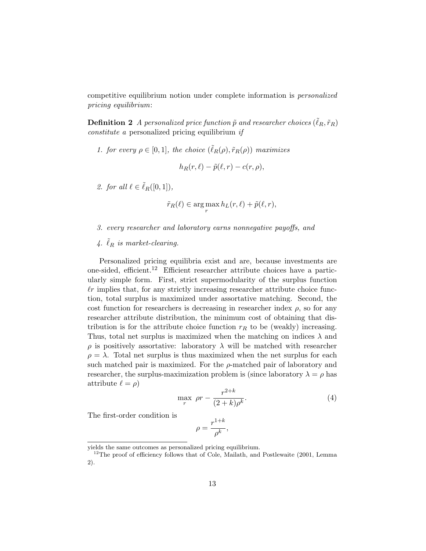competitive equilibrium notion under complete information is personalized pricing equilibrium:

**Definition 2** A personalized price function  $\tilde{p}$  and researcher choices  $(\tilde{\ell}_R, \tilde{r}_R)$ constitute a personalized pricing equilibrium if

1. for every  $\rho \in [0,1]$ , the choice  $(\tilde{\ell}_R(\rho), \tilde{r}_R(\rho))$  maximizes

$$
h_R(r,\ell)-\tilde p(\ell,r)-c(r,\rho),
$$

2. for all  $\ell \in \tilde{\ell}_R([0, 1]),$ 

$$
\tilde{r}_R(\ell) \in \arg\max_r h_L(r,\ell) + \tilde{p}(\ell,r),
$$

- 3. every researcher and laboratory earns nonnegative payoffs, and
- 4.  $\tilde{\ell}_R$  is market-clearing.

Personalized pricing equilibria exist and are, because investments are one-sided, efficient.<sup>12</sup> Efficient researcher attribute choices have a particularly simple form. First, strict supermodularity of the surplus function  $\ell r$  implies that, for any strictly increasing researcher attribute choice function, total surplus is maximized under assortative matching. Second, the cost function for researchers is decreasing in researcher index  $\rho$ , so for any researcher attribute distribution, the minimum cost of obtaining that distribution is for the attribute choice function  $r_R$  to be (weakly) increasing. Thus, total net surplus is maximized when the matching on indices  $\lambda$  and  $\rho$  is positively assortative: laboratory  $\lambda$  will be matched with researcher  $\rho = \lambda$ . Total net surplus is thus maximized when the net surplus for each such matched pair is maximized. For the  $\rho$ -matched pair of laboratory and researcher, the surplus-maximization problem is (since laboratory  $\lambda = \rho$  has attribute  $\ell = \rho$ )

$$
\max_{r} \ \rho r - \frac{r^{2+k}}{(2+k)\rho^k}.\tag{4}
$$

The first-order condition is

$$
\rho = \frac{r^{1+k}}{\rho^k},
$$

yields the same outcomes as personalized pricing equilibrium.

<sup>&</sup>lt;sup>12</sup>The proof of efficiency follows that of Cole, Mailath, and Postlewaite (2001, Lemma 2).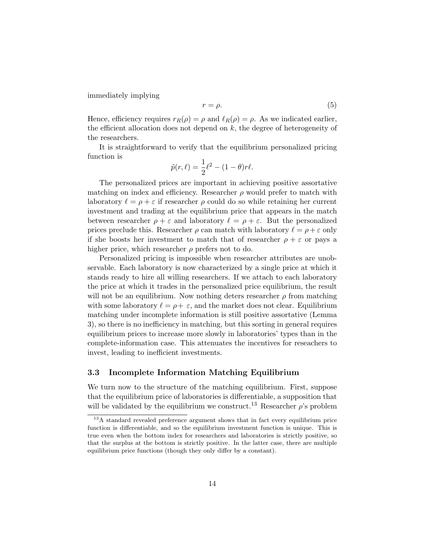immediately implying

$$
r = \rho. \tag{5}
$$

Hence, efficiency requires  $r_R(\rho) = \rho$  and  $\ell_R(\rho) = \rho$ . As we indicated earlier, the efficient allocation does not depend on  $k$ , the degree of heterogeneity of the researchers.

It is straightforward to verify that the equilibrium personalized pricing function is

$$
\tilde{p}(r,\ell) = \frac{1}{2}\ell^2 - (1-\theta)r\ell.
$$

The personalized prices are important in achieving positive assortative matching on index and efficiency. Researcher  $\rho$  would prefer to match with laboratory  $\ell = \rho + \varepsilon$  if researcher  $\rho$  could do so while retaining her current investment and trading at the equilibrium price that appears in the match between researcher  $\rho + \varepsilon$  and laboratory  $\ell = \rho + \varepsilon$ . But the personalized prices preclude this. Researcher  $\rho$  can match with laboratory  $\ell = \rho + \varepsilon$  only if she boosts her investment to match that of researcher  $\rho + \varepsilon$  or pays a higher price, which researcher  $\rho$  prefers not to do.

Personalized pricing is impossible when researcher attributes are unobservable. Each laboratory is now characterized by a single price at which it stands ready to hire all willing researchers. If we attach to each laboratory the price at which it trades in the personalized price equilibrium, the result will not be an equilibrium. Now nothing deters researcher  $\rho$  from matching with some laboratory  $\ell = \rho + \varepsilon$ , and the market does not clear. Equilibrium matching under incomplete information is still positive assortative (Lemma 3), so there is no inefficiency in matching, but this sorting in general requires equilibrium prices to increase more slowly in laboratories' types than in the complete-information case. This attenuates the incentives for reseachers to invest, leading to inefficient investments.

#### 3.3 Incomplete Information Matching Equilibrium

We turn now to the structure of the matching equilibrium. First, suppose that the equilibrium price of laboratories is differentiable, a supposition that will be validated by the equilibrium we construct.<sup>13</sup> Researcher  $\rho$ 's problem

<sup>&</sup>lt;sup>13</sup>A standard revealed preference argument shows that in fact every equilibrium price function is differentiable, and so the equilibrium investment function is unique. This is true even when the bottom index for researchers and laboratories is strictly positive, so that the surplus at the bottom is strictly positive. In the latter case, there are multiple equilibrium price functions (though they only differ by a constant).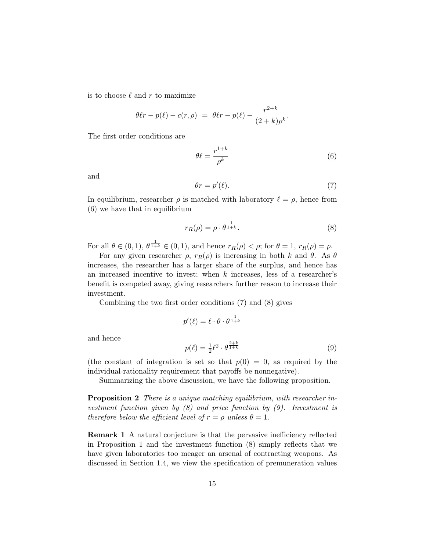is to choose  $\ell$  and r to maximize

$$
\theta \ell r - p(\ell) - c(r, \rho) = \theta \ell r - p(\ell) - \frac{r^{2+k}}{(2+k)\rho^k}.
$$

The first order conditions are

$$
\theta \ell = \frac{r^{1+k}}{\rho^k} \tag{6}
$$

and

$$
\theta r = p'(\ell). \tag{7}
$$

In equilibrium, researcher  $\rho$  is matched with laboratory  $\ell = \rho$ , hence from (6) we have that in equilibrium

$$
r_R(\rho) = \rho \cdot \theta^{\frac{1}{1+k}}.\tag{8}
$$

For all  $\theta \in (0, 1)$ ,  $\theta^{\frac{1}{1+k}} \in (0, 1)$ , and hence  $r_R(\rho) < \rho$ ; for  $\theta = 1$ ,  $r_R(\rho) = \rho$ .

For any given researcher  $\rho$ ,  $r_R(\rho)$  is increasing in both k and  $\theta$ . As  $\theta$ increases, the researcher has a larger share of the surplus, and hence has an increased incentive to invest; when  $k$  increases, less of a researcher's benefit is competed away, giving researchers further reason to increase their investment.

Combining the two first order conditions (7) and (8) gives

$$
p'(\ell) = \ell \cdot \theta \cdot \theta^{\frac{1}{1+k}}
$$

and hence

$$
p(\ell) = \frac{1}{2}\ell^2 \cdot \theta^{\frac{2+k}{1+k}}
$$
 (9)

(the constant of integration is set so that  $p(0) = 0$ , as required by the individual-rationality requirement that payoffs be nonnegative).

Summarizing the above discussion, we have the following proposition.

**Proposition 2** There is a unique matching equilibrium, with researcher investment function given by  $(8)$  and price function by  $(9)$ . Investment is therefore below the efficient level of  $r = \rho$  unless  $\theta = 1$ .

Remark 1 A natural conjecture is that the pervasive inefficiency reflected in Proposition 1 and the investment function (8) simply reflects that we have given laboratories too meager an arsenal of contracting weapons. As discussed in Section 1.4, we view the specification of premuneration values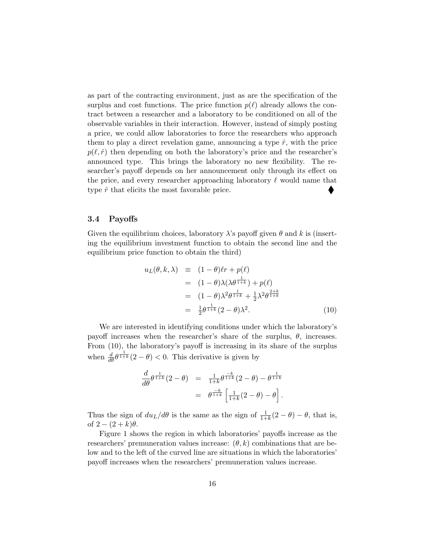as part of the contracting environment, just as are the specification of the surplus and cost functions. The price function  $p(\ell)$  already allows the contract between a researcher and a laboratory to be conditioned on all of the observable variables in their interaction. However, instead of simply posting a price, we could allow laboratories to force the researchers who approach them to play a direct revelation game, announcing a type  $\hat{r}$ , with the price  $p(\ell, \hat{r})$  then depending on both the laboratory's price and the researcher's announced type. This brings the laboratory no new flexibility. The researcher's payoff depends on her announcement only through its effect on the price, and every researcher approaching laboratory  $\ell$  would name that type  $\hat{r}$  that elicits the most favorable price.

#### 3.4 Payoffs

Given the equilibrium choices, laboratory  $\lambda$ 's payoff given  $\theta$  and k is (inserting the equilibrium investment function to obtain the second line and the equilibrium price function to obtain the third)

$$
u_L(\theta, k, \lambda) \equiv (1 - \theta)\ell r + p(\ell)
$$
  
=  $(1 - \theta)\lambda(\lambda\theta^{\frac{1}{1+k}}) + p(\ell)$   
=  $(1 - \theta)\lambda^2\theta^{\frac{1}{1+k}} + \frac{1}{2}\lambda^2\theta^{\frac{2+k}{1+k}}$   
=  $\frac{1}{2}\theta^{\frac{1}{1+k}}(2 - \theta)\lambda^2.$  (10)

We are interested in identifying conditions under which the laboratory's payoff increases when the researcher's share of the surplus,  $\theta$ , increases. From (10), the laboratory's payoff is increasing in its share of the surplus when  $\frac{d}{d\theta} \theta^{\frac{1}{1+k}} (2 - \theta) < 0$ . This derivative is given by

$$
\frac{d}{d\theta} \theta^{\frac{1}{1+k}} (2 - \theta) = \frac{1}{1+k} \theta^{\frac{-k}{1+k}} (2 - \theta) - \theta^{\frac{1}{1+k}} \n= \theta^{\frac{-k}{1+k}} \left[ \frac{1}{1+k} (2 - \theta) - \theta \right].
$$

Thus the sign of  $du_L/d\theta$  is the same as the sign of  $\frac{1}{1+k}(2-\theta)-\theta$ , that is, of  $2 - (2 + k)\theta$ .

Figure 1 shows the region in which laboratories' payoffs increase as the researchers' premuneration values increase:  $(\theta, k)$  combinations that are below and to the left of the curved line are situations in which the laboratories' payoff increases when the researchers' premuneration values increase.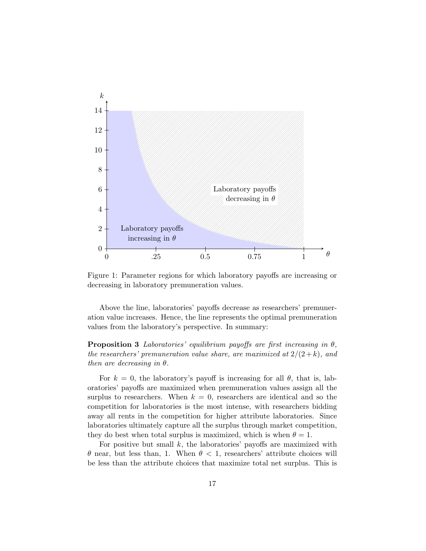

Figure 1: Parameter regions for which laboratory payoffs are increasing or decreasing in laboratory premuneration values.

Above the line, laboratories' payoffs decrease as researchers' premuneration value increases. Hence, the line represents the optimal premuneration values from the laboratory's perspective. In summary:

**Proposition 3** Laboratories' equilibrium payoffs are first increasing in  $\theta$ , the researchers' premuneration value share, are maximized at  $2/(2+k)$ , and then are decreasing in  $\theta$ .

For  $k = 0$ , the laboratory's payoff is increasing for all  $\theta$ , that is, laboratories' payoffs are maximized when premuneration values assign all the surplus to researchers. When  $k = 0$ , researchers are identical and so the competition for laboratories is the most intense, with researchers bidding away all rents in the competition for higher attribute laboratories. Since laboratories ultimately capture all the surplus through market competition, they do best when total surplus is maximized, which is when  $\theta = 1$ .

For positive but small  $k$ , the laboratories' payoffs are maximized with  $\theta$  near, but less than, 1. When  $\theta < 1$ , researchers' attribute choices will be less than the attribute choices that maximize total net surplus. This is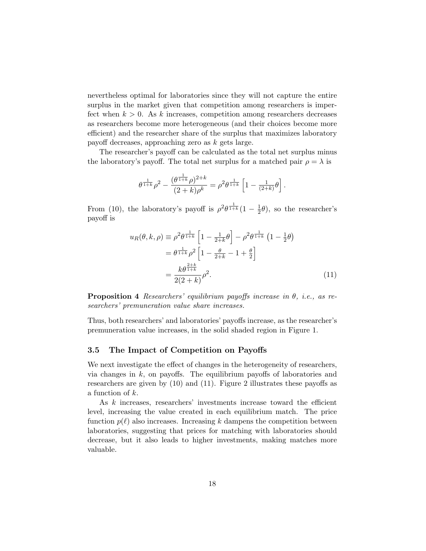nevertheless optimal for laboratories since they will not capture the entire surplus in the market given that competition among researchers is imperfect when  $k > 0$ . As k increases, competition among researchers decreases as researchers become more heterogeneous (and their choices become more efficient) and the researcher share of the surplus that maximizes laboratory payoff decreases, approaching zero as k gets large.

The researcher's payoff can be calculated as the total net surplus minus the laboratory's payoff. The total net surplus for a matched pair  $\rho = \lambda$  is

$$
\theta^{\frac{1}{1+k}}\rho^2 - \frac{(\theta^{\frac{1}{1+k}}\rho)^{2+k}}{(2+k)\rho^k} = \rho^2\theta^{\frac{1}{1+k}}\left[1 - \frac{1}{(2+k)}\theta\right].
$$

From (10), the laboratory's payoff is  $\rho^2 \theta^{\frac{1}{1+k}} (1 - \frac{1}{2})$  $(\frac{1}{2}\theta)$ , so the researcher's payoff is

$$
u_R(\theta, k, \rho) \equiv \rho^2 \theta^{\frac{1}{1+k}} \left[ 1 - \frac{1}{2+k} \theta \right] - \rho^2 \theta^{\frac{1}{1+k}} \left( 1 - \frac{1}{2} \theta \right)
$$
  
=  $\theta^{\frac{1}{1+k}} \rho^2 \left[ 1 - \frac{\theta}{2+k} - 1 + \frac{\theta}{2} \right]$   
=  $\frac{k \theta^{\frac{2+k}{1+k}}}{2(2+k)} \rho^2.$  (11)

**Proposition 4** Researchers' equilibrium payoffs increase in  $\theta$ , i.e., as researchers' premuneration value share increases.

Thus, both researchers' and laboratories' payoffs increase, as the researcher's premuneration value increases, in the solid shaded region in Figure 1.

#### 3.5 The Impact of Competition on Payoffs

We next investigate the effect of changes in the heterogeneity of researchers, via changes in  $k$ , on payoffs. The equilibrium payoffs of laboratories and researchers are given by (10) and (11). Figure 2 illustrates these payoffs as a function of k.

As k increases, researchers' investments increase toward the efficient level, increasing the value created in each equilibrium match. The price function  $p(\ell)$  also increases. Increasing k dampens the competition between laboratories, suggesting that prices for matching with laboratories should decrease, but it also leads to higher investments, making matches more valuable.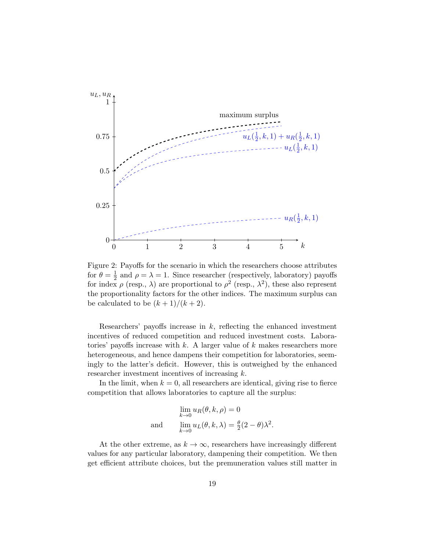

Figure 2: Payoffs for the scenario in which the researchers choose attributes for  $\theta = \frac{1}{2}$  $\frac{1}{2}$  and  $\rho = \lambda = 1$ . Since researcher (respectively, laboratory) payoffs for index  $\rho$  (resp.,  $\lambda$ ) are proportional to  $\rho^2$  (resp.,  $\lambda^2$ ), these also represent the proportionality factors for the other indices. The maximum surplus can be calculated to be  $(k+1)/(k+2)$ .

Researchers' payoffs increase in  $k$ , reflecting the enhanced investment incentives of reduced competition and reduced investment costs. Laboratories' payoffs increase with  $k$ . A larger value of  $k$  makes researchers more heterogeneous, and hence dampens their competition for laboratories, seemingly to the latter's deficit. However, this is outweighed by the enhanced researcher investment incentives of increasing k.

In the limit, when  $k = 0$ , all researchers are identical, giving rise to fierce competition that allows laboratories to capture all the surplus:

$$
\lim_{k \to 0} u_R(\theta, k, \rho) = 0
$$
  
and 
$$
\lim_{k \to 0} u_L(\theta, k, \lambda) = \frac{\theta}{2}(2 - \theta)\lambda^2.
$$

At the other extreme, as  $k \to \infty$ , researchers have increasingly different values for any particular laboratory, dampening their competition. We then get efficient attribute choices, but the premuneration values still matter in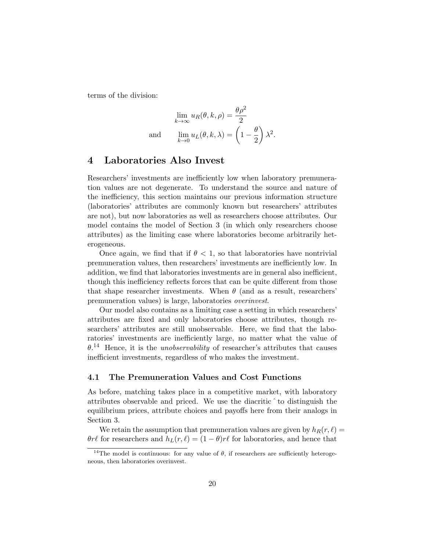terms of the division:

$$
\lim_{k \to \infty} u_R(\theta, k, \rho) = \frac{\theta \rho^2}{2}
$$
  
and 
$$
\lim_{k \to 0} u_L(\theta, k, \lambda) = \left(1 - \frac{\theta}{2}\right) \lambda^2.
$$

## 4 Laboratories Also Invest

Researchers' investments are inefficiently low when laboratory premuneration values are not degenerate. To understand the source and nature of the inefficiency, this section maintains our previous information structure (laboratories' attributes are commonly known but researchers' attributes are not), but now laboratories as well as researchers choose attributes. Our model contains the model of Section 3 (in which only researchers choose attributes) as the limiting case where laboratories become arbitrarily heterogeneous.

Once again, we find that if  $\theta < 1$ , so that laboratories have nontrivial premuneration values, then researchers' investments are inefficiently low. In addition, we find that laboratories investments are in general also inefficient, though this inefficiency reflects forces that can be quite different from those that shape researcher investments. When  $\theta$  (and as a result, researchers' premuneration values) is large, laboratories overinvest.

Our model also contains as a limiting case a setting in which researchers' attributes are fixed and only laboratories choose attributes, though researchers' attributes are still unobservable. Here, we find that the laboratories' investments are inefficiently large, no matter what the value of  $\theta$ <sup>14</sup> Hence, it is the *unobservability* of researcher's attributes that causes inefficient investments, regardless of who makes the investment.

#### 4.1 The Premuneration Values and Cost Functions

As before, matching takes place in a competitive market, with laboratory attributes observable and priced. We use the diacritic ˆ to distinguish the equilibrium prices, attribute choices and payoffs here from their analogs in Section 3.

We retain the assumption that premuneration values are given by  $h_R(r, \ell) =$  $\theta r\ell$  for researchers and  $h_L(r, \ell) = (1 - \theta)r\ell$  for laboratories, and hence that

<sup>&</sup>lt;sup>14</sup>The model is continuous: for any value of  $\theta$ , if researchers are sufficiently heterogeneous, then laboratories overinvest.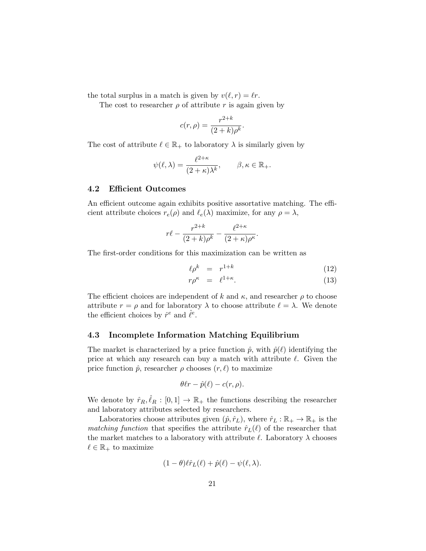the total surplus in a match is given by  $v(\ell, r) = \ell r$ .

The cost to researcher  $\rho$  of attribute r is again given by

$$
c(r,\rho) = \frac{r^{2+k}}{(2+k)\rho^k}.
$$

The cost of attribute  $\ell \in \mathbb{R}_+$  to laboratory  $\lambda$  is similarly given by

$$
\psi(\ell,\lambda) = \frac{\ell^{2+\kappa}}{(2+\kappa)\lambda^k}, \qquad \beta, \kappa \in \mathbb{R}_+.
$$

#### 4.2 Efficient Outcomes

An efficient outcome again exhibits positive assortative matching. The efficient attribute choices  $r_e(\rho)$  and  $\ell_e(\lambda)$  maximize, for any  $\rho = \lambda$ ,

$$
r\ell - \frac{r^{2+k}}{(2+k)\rho^k} - \frac{\ell^{2+\kappa}}{(2+\kappa)\rho^\kappa}.
$$

The first-order conditions for this maximization can be written as

$$
\ell \rho^k = r^{1+k} \tag{12}
$$

$$
r\rho^{\kappa} = \ell^{1+\kappa}.\tag{13}
$$

The efficient choices are independent of k and  $\kappa$ , and researcher  $\rho$  to choose attribute  $r = \rho$  and for laboratory  $\lambda$  to choose attribute  $\ell = \lambda$ . We denote the efficient choices by  $\hat{r}^e$  and  $\hat{\ell}^e$ .

#### 4.3 Incomplete Information Matching Equilibrium

The market is characterized by a price function  $\hat{p}$ , with  $\hat{p}(\ell)$  identifying the price at which any research can buy a match with attribute  $\ell$ . Given the price function  $\hat{p}$ , researcher  $\rho$  chooses  $(r, \ell)$  to maximize

$$
\theta \ell r - \hat{p}(\ell) - c(r,\rho).
$$

We denote by  $\hat{r}_R, \hat{\ell}_R : [0, 1] \to \mathbb{R}_+$  the functions describing the researcher and laboratory attributes selected by researchers.

Laboratories choose attributes given  $(\hat{p}, \hat{r}_L)$ , where  $\hat{r}_L : \mathbb{R}_+ \to \mathbb{R}_+$  is the matching function that specifies the attribute  $\hat{r}_L(\ell)$  of the researcher that the market matches to a laboratory with attribute  $\ell$ . Laboratory  $\lambda$  chooses  $\ell \in \mathbb{R}_+$  to maximize

$$
(1 - \theta)\ell \hat{r}_L(\ell) + \hat{p}(\ell) - \psi(\ell, \lambda).
$$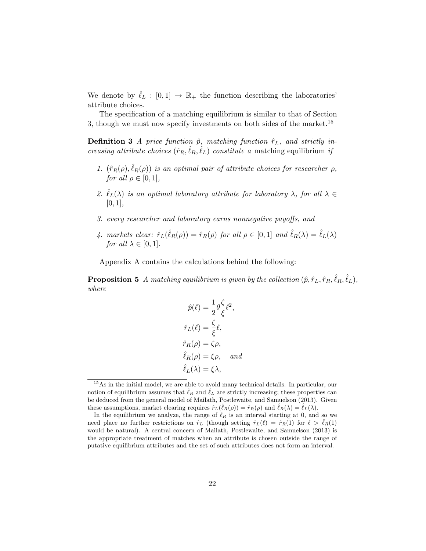We denote by  $\ell_L : [0, 1] \to \mathbb{R}_+$  the function describing the laboratories' attribute choices.

The specification of a matching equilibrium is similar to that of Section 3, though we must now specify investments on both sides of the market.<sup>15</sup>

**Definition 3** A price function  $\hat{p}$ , matching function  $\hat{r}_L$ , and strictly increasing attribute choices  $(\hat{r}_R, \hat{\ell}_R, \hat{\ell}_L)$  constitute a matching equilibrium if

- 1.  $(\hat{r}_R(\rho), \hat{\ell}_R(\rho))$  is an optimal pair of attribute choices for researcher  $\rho$ , for all  $\rho \in [0, 1]$ ,
- 2.  $\ell_L(\lambda)$  is an optimal laboratory attribute for laboratory  $\lambda$ , for all  $\lambda \in$  $[0, 1]$ ,
- 3. every researcher and laboratory earns nonnegative payoffs, and
- 4. markets clear:  $\hat{r}_L(\hat{\ell}_R(\rho)) = \hat{r}_R(\rho)$  for all  $\rho \in [0, 1]$  and  $\hat{\ell}_R(\lambda) = \hat{\ell}_L(\lambda)$ for all  $\lambda \in [0, 1]$ .

Appendix A contains the calculations behind the following:

**Proposition 5** A matching equilibrium is given by the collection  $(\hat{p}, \hat{r}_L, \hat{r}_R, \hat{\ell}_R, \hat{\ell}_L)$ , where

$$
\hat{p}(\ell) = \frac{1}{2} \theta \frac{\zeta}{\xi} \ell^2,
$$
  

$$
\hat{r}_L(\ell) = \frac{\zeta}{\xi} \ell,
$$
  

$$
\hat{r}_R(\rho) = \zeta \rho,
$$
  

$$
\hat{\ell}_R(\rho) = \xi \rho,
$$
 and  

$$
\hat{\ell}_L(\lambda) = \xi \lambda,
$$

<sup>&</sup>lt;sup>15</sup>As in the initial model, we are able to avoid many technical details. In particular, our notion of equilibrium assumes that  $\ell_R$  and  $\ell_L$  are strictly increasing; these properties can be deduced from the general model of Mailath, Postlewaite, and Samuelson (2013). Given these assumptions, market clearing requires  $\hat{r}_L(\hat{\ell}_R(\rho)) = \hat{r}_R(\rho)$  and  $\hat{\ell}_R(\lambda) = \hat{\ell}_L(\lambda)$ .

In the equilibrium we analyze, the range of  $\ell_R$  is an interval starting at 0, and so we need place no further restrictions on  $\hat{r}_L$  (though setting  $\hat{r}_L(\ell) = \hat{r}_R(1)$  for  $\ell > \ell_R(1)$ would be natural). A central concern of Mailath, Postlewaite, and Samuelson (2013) is the appropriate treatment of matches when an attribute is chosen outside the range of putative equilibrium attributes and the set of such attributes does not form an interval.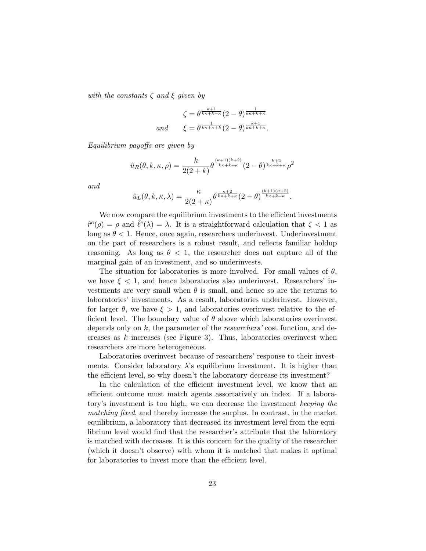with the constants  $\zeta$  and  $\xi$  given by

$$
\zeta = \theta^{\frac{\kappa+1}{k\kappa+k+\kappa}} (2-\theta)^{\frac{1}{k\kappa+k+\kappa}}
$$
  
and 
$$
\xi = \theta^{\frac{1}{k\kappa+\kappa+k}} (2-\theta)^{\frac{k+1}{k\kappa+k+\kappa}}.
$$

Equilibrium payoffs are given by

$$
\hat{u}_R(\theta,k,\kappa,\rho)=\frac{k}{2(2+k)}\theta^{\frac{(\kappa+1)(k+2)}{k\kappa+k+\kappa}}(2-\theta)^{\frac{k+2}{k\kappa+k+\kappa}}\rho^2
$$

and

$$
\hat{u}_L(\theta, k, \kappa, \lambda) = \frac{\kappa}{2(2+\kappa)} \theta^{\frac{\kappa+2}{k\kappa+k+\kappa}} (2-\theta)^{\frac{(k+1)(\kappa+2)}{k\kappa+k+\kappa}}.
$$

We now compare the equilibrium investments to the efficient investments  $\hat{r}^e(\rho) = \rho$  and  $\hat{\ell}^e(\lambda) = \lambda$ . It is a straightforward calculation that  $\zeta < 1$  as long as  $\theta$  < 1. Hence, once again, researchers underinvest. Underinvestment on the part of researchers is a robust result, and reflects familiar holdup reasoning. As long as  $\theta < 1$ , the researcher does not capture all of the marginal gain of an investment, and so underinvests.

The situation for laboratories is more involved. For small values of  $\theta$ , we have  $\xi < 1$ , and hence laboratories also underinvest. Researchers' investments are very small when  $\theta$  is small, and hence so are the returns to laboratories' investments. As a result, laboratories underinvest. However, for larger  $\theta$ , we have  $\xi > 1$ , and laboratories overinvest relative to the efficient level. The boundary value of  $\theta$  above which laboratories overinvest depends only on  $k$ , the parameter of the *researchers'* cost function, and decreases as  $k$  increases (see Figure 3). Thus, laboratories overinvest when researchers are more heterogeneous.

Laboratories overinvest because of researchers' response to their investments. Consider laboratory  $\lambda$ 's equilibrium investment. It is higher than the efficient level, so why doesn't the laboratory decrease its investment?

In the calculation of the efficient investment level, we know that an efficient outcome must match agents assortatively on index. If a laboratory's investment is too high, we can decrease the investment keeping the matching fixed, and thereby increase the surplus. In contrast, in the market equilibrium, a laboratory that decreased its investment level from the equilibrium level would find that the researcher's attribute that the laboratory is matched with decreases. It is this concern for the quality of the researcher (which it doesn't observe) with whom it is matched that makes it optimal for laboratories to invest more than the efficient level.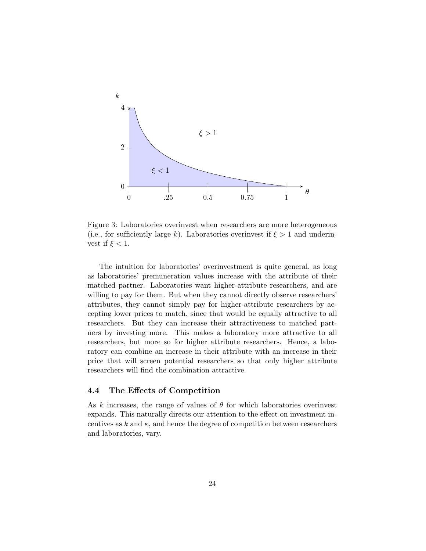

Figure 3: Laboratories overinvest when researchers are more heterogeneous (i.e., for sufficiently large k). Laboratories overinvest if  $\xi > 1$  and underinvest if  $\xi < 1$ .

The intuition for laboratories' overinvestment is quite general, as long as laboratories' premuneration values increase with the attribute of their matched partner. Laboratories want higher-attribute researchers, and are willing to pay for them. But when they cannot directly observe researchers' attributes, they cannot simply pay for higher-attribute researchers by accepting lower prices to match, since that would be equally attractive to all researchers. But they can increase their attractiveness to matched partners by investing more. This makes a laboratory more attractive to all researchers, but more so for higher attribute researchers. Hence, a laboratory can combine an increase in their attribute with an increase in their price that will screen potential researchers so that only higher attribute researchers will find the combination attractive.

#### 4.4 The Effects of Competition

As k increases, the range of values of  $\theta$  for which laboratories overinvest expands. This naturally directs our attention to the effect on investment incentives as  $k$  and  $\kappa$ , and hence the degree of competition between researchers and laboratories, vary.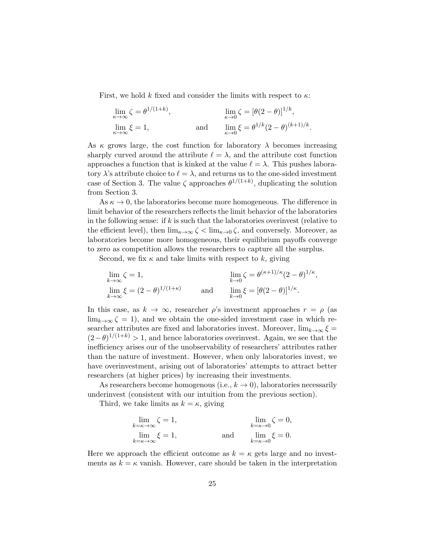First, we hold k fixed and consider the limits with respect to  $\kappa$ :

$$
\lim_{\substack{\kappa \to \infty}} \zeta = \theta^{1/(1+k)}, \qquad \lim_{\substack{\kappa \to 0 \\ \kappa \to \infty}} \zeta = [\theta(2-\theta)]^{1/k},
$$
\n
$$
\lim_{\kappa \to \infty} \xi = 1, \qquad \text{and} \qquad \lim_{\kappa \to 0} \xi = \theta^{1/k}(2-\theta)^{(k+1)/k}.
$$

As  $\kappa$  grows large, the cost function for laboratory  $\lambda$  becomes increasing sharply curved around the attribute  $\ell = \lambda$ , and the attribute cost function approaches a function that is kinked at the value  $\ell = \lambda$ . This pushes laboratory  $\lambda$ 's attribute choice to  $\ell = \lambda$ , and returns us to the one-sided investment case of Section 3. The value  $\zeta$  approaches  $\theta^{1/(1+k)}$ , duplicating the solution from Section 3.

As  $\kappa \to 0$ , the laboratories become more homogeneous. The difference in limit behavior of the researchers reflects the limit behavior of the laboratories in the following sense: if  $k$  is such that the laboratories overinvest (relative to the efficient level), then  $\lim_{\kappa\to\infty}\zeta<\lim_{\kappa\to 0}\zeta$ , and conversely. Moreover, as laboratories become more homogeneous, their equilibrium payoffs converge to zero as competition allows the researchers to capture all the surplus.

Second, we fix  $\kappa$  and take limits with respect to k, giving

$$
\lim_{k \to \infty} \zeta = 1,
$$
\n
$$
\lim_{k \to \infty} \xi = (2 - \theta)^{1/(1 + \kappa)} \qquad \text{and} \qquad \lim_{k \to 0} \xi = [\theta(2 - \theta)]^{1/\kappa},
$$
\n
$$
\lim_{k \to \infty} \xi = (2 - \theta)^{1/(1 + \kappa)} \qquad \text{and} \qquad \lim_{k \to 0} \xi = [\theta(2 - \theta)]^{1/\kappa}.
$$

In this case, as  $k \to \infty$ , researcher  $\rho$ 's investment approaches  $r = \rho$  (as  $\lim_{k\to\infty} \zeta = 1$ , and we obtain the one-sided investment case in which researcher attributes are fixed and laboratories invest. Moreover,  $\lim_{k\to\infty} \xi$  $(2-\theta)^{1/(1+k)} > 1$ , and hence laboratories overinvest. Again, we see that the inefficiency arises our of the unobservability of researchers' attributes rather than the nature of investment. However, when only laboratories invest, we have overinvestment, arising out of laboratories' attempts to attract better researchers (at higher prices) by increasing their investments.

As researchers become homogenous (i.e.,  $k \to 0$ ), laboratories necessarily underinvest (consistent with our intuition from the previous section).

Third, we take limits as  $k = \kappa$ , giving

$$
\lim_{k=\kappa\to\infty}\zeta=1, \qquad \lim_{k=\kappa\to 0}\zeta=0, \n\lim_{k=\kappa\to\infty}\xi=1, \qquad \text{and} \qquad \lim_{k=\kappa\to 0}\zeta=0.
$$

Here we approach the efficient outcome as  $k = \kappa$  gets large and no investments as  $k = \kappa$  vanish. However, care should be taken in the interpretation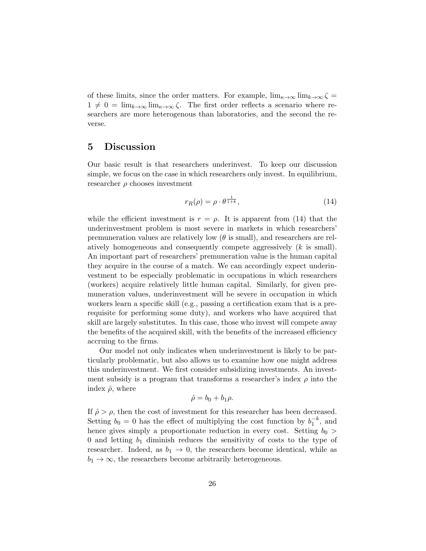of these limits, since the order matters. For example,  $\lim_{\kappa \to \infty} \lim_{k \to \infty} \zeta =$  $1 \neq 0 = \lim_{k \to \infty} \lim_{\kappa \to \infty} \zeta$ . The first order reflects a scenario where researchers are more heterogenous than laboratories, and the second the reverse.

### 5 Discussion

Our basic result is that researchers underinvest. To keep our discussion simple, we focus on the case in which researchers only invest. In equilibrium, researcher  $\rho$  chooses investment

$$
r_R(\rho) = \rho \cdot \theta^{\frac{1}{1+k}},\tag{14}
$$

while the efficient investment is  $r = \rho$ . It is apparent from (14) that the underinvestment problem is most severe in markets in which researchers' premuneration values are relatively low  $(\theta \text{ is small})$ , and researchers are relatively homogeneous and consequently compete aggressively (k is small). An important part of researchers' premuneration value is the human capital they acquire in the course of a match. We can accordingly expect underinvestment to be especially problematic in occupations in which researchers (workers) acquire relatively little human capital. Similarly, for given premuneration values, underinvestment will be severe in occupation in which workers learn a specific skill (e.g., passing a certification exam that is a prerequisite for performing some duty), and workers who have acquired that skill are largely substitutes. In this case, those who invest will compete away the benefits of the acquired skill, with the benefits of the increased efficiency accruing to the firms.

Our model not only indicates when underinvestment is likely to be particularly problematic, but also allows us to examine how one might address this underinvestment. We first consider subsidizing investments. An investment subsidy is a program that transforms a researcher's index  $\rho$  into the index  $\hat{\rho}$ , where

$$
\hat{\rho}=b_0+b_1\rho.
$$

If  $\hat{\rho} > \rho$ , then the cost of investment for this researcher has been decreased. Setting  $b_0 = 0$  has the effect of multiplying the cost function by  $b_1^{-k}$ , and hence gives simply a proportionate reduction in every cost. Setting  $b_0$  > 0 and letting  $b_1$  diminish reduces the sensitivity of costs to the type of researcher. Indeed, as  $b_1 \rightarrow 0$ , the researchers become identical, while as  $b_1 \rightarrow \infty$ , the researchers become arbitrarily heterogeneous.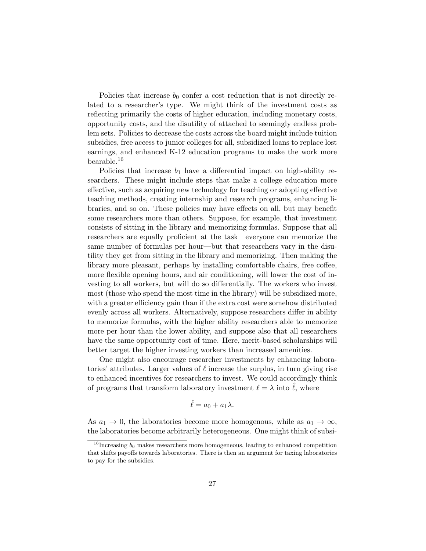Policies that increase  $b_0$  confer a cost reduction that is not directly related to a researcher's type. We might think of the investment costs as reflecting primarily the costs of higher education, including monetary costs, opportunity costs, and the disutility of attached to seemingly endless problem sets. Policies to decrease the costs across the board might include tuition subsidies, free access to junior colleges for all, subsidized loans to replace lost earnings, and enhanced K-12 education programs to make the work more bearable.<sup>16</sup>

Policies that increase  $b_1$  have a differential impact on high-ability researchers. These might include steps that make a college education more effective, such as acquiring new technology for teaching or adopting effective teaching methods, creating internship and research programs, enhancing libraries, and so on. These policies may have effects on all, but may benefit some researchers more than others. Suppose, for example, that investment consists of sitting in the library and memorizing formulas. Suppose that all researchers are equally proficient at the task—everyone can memorize the same number of formulas per hour—but that researchers vary in the disutility they get from sitting in the library and memorizing. Then making the library more pleasant, perhaps by installing comfortable chairs, free coffee, more flexible opening hours, and air conditioning, will lower the cost of investing to all workers, but will do so differentially. The workers who invest most (those who spend the most time in the library) will be subsidized more, with a greater efficiency gain than if the extra cost were somehow distributed evenly across all workers. Alternatively, suppose researchers differ in ability to memorize formulas, with the higher ability researchers able to memorize more per hour than the lower ability, and suppose also that all researchers have the same opportunity cost of time. Here, merit-based scholarships will better target the higher investing workers than increased amenities.

One might also encourage researcher investments by enhancing laboratories' attributes. Larger values of  $\ell$  increase the surplus, in turn giving rise to enhanced incentives for researchers to invest. We could accordingly think of programs that transform laboratory investment  $\ell = \lambda$  into  $\hat{\ell}$ , where

$$
\hat{\ell} = a_0 + a_1 \lambda.
$$

As  $a_1 \rightarrow 0$ , the laboratories become more homogenous, while as  $a_1 \rightarrow \infty$ , the laboratories become arbitrarily heterogeneous. One might think of subsi-

<sup>&</sup>lt;sup>16</sup>Increasing  $b_0$  makes researchers more homogeneous, leading to enhanced competition that shifts payoffs towards laboratories. There is then an argument for taxing laboratories to pay for the subsidies.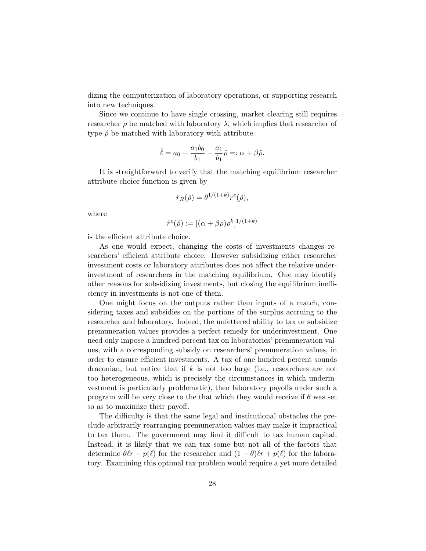dizing the computerization of laboratory operations, or supporting research into new techniques.

Since we continue to have single crossing, market clearing still requires researcher  $\rho$  be matched with laboratory  $\lambda$ , which implies that researcher of type  $\hat{\rho}$  be matched with laboratory with attribute

$$
\hat{\ell} = a_0 - \frac{a_1 b_0}{b_1} + \frac{a_1}{b_1} \hat{\rho} =: \alpha + \beta \hat{\rho}.
$$

It is straightforward to verify that the matching equilibrium researcher attribute choice function is given by

$$
\hat{r}_R(\hat{\rho}) = \theta^{1/(1+k)} r^e(\hat{\rho}),
$$

where

$$
\hat{r}^e(\hat{\rho}) := [(\alpha + \beta \rho) \rho^k]^{1/(1+k)}
$$

is the efficient attribute choice.

As one would expect, changing the costs of investments changes researchers' efficient attribute choice. However subsidizing either researcher investment costs or laboratory attributes does not affect the relative underinvestment of researchers in the matching equilibrium. One may identify other reasons for subsidizing investments, but closing the equilibrium inefficiency in investments is not one of them.

One might focus on the outputs rather than inputs of a match, considering taxes and subsidies on the portions of the surplus accruing to the researcher and laboratory. Indeed, the unfettered ability to tax or subsidize premuneration values provides a perfect remedy for underinvestment. One need only impose a hundred-percent tax on laboratories' premuneration values, with a corresponding subsidy on researchers' premuneration values, in order to ensure efficient investments. A tax of one hundred percent sounds draconian, but notice that if k is not too large (i.e., researchers are not too heterogeneous, which is precisely the circumstances in which underinvestment is particularly problematic), then laboratory payoffs under such a program will be very close to the that which they would receive if  $\theta$  was set so as to maximize their payoff.

The difficulty is that the same legal and institutional obstacles the preclude arbitrarily rearranging premuneration values may make it impractical to tax them. The government may find it difficult to tax human capital, Instead, it is likely that we can tax some but not all of the factors that determine  $\theta \ell r - p(\ell)$  for the researcher and  $(1 - \theta)\ell r + p(\ell)$  for the laboratory. Examining this optimal tax problem would require a yet more detailed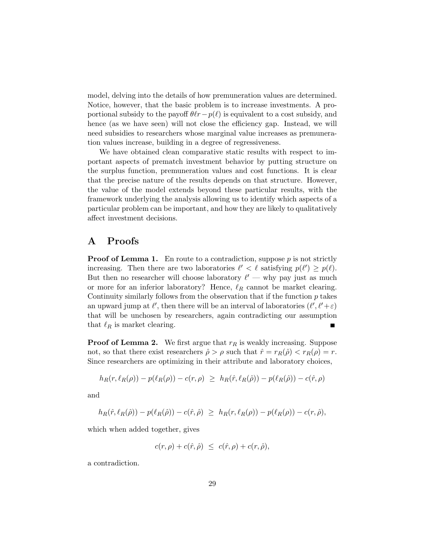model, delving into the details of how premuneration values are determined. Notice, however, that the basic problem is to increase investments. A proportional subsidy to the payoff  $\theta\ell r-p(\ell)$  is equivalent to a cost subsidy, and hence (as we have seen) will not close the efficiency gap. Instead, we will need subsidies to researchers whose marginal value increases as premuneration values increase, building in a degree of regressiveness.

We have obtained clean comparative static results with respect to important aspects of prematch investment behavior by putting structure on the surplus function, premuneration values and cost functions. It is clear that the precise nature of the results depends on that structure. However, the value of the model extends beyond these particular results, with the framework underlying the analysis allowing us to identify which aspects of a particular problem can be important, and how they are likely to qualitatively affect investment decisions.

## A Proofs

**Proof of Lemma 1.** En route to a contradiction, suppose  $p$  is not strictly increasing. Then there are two laboratories  $\ell' < \ell$  satisfying  $p(\ell') \geq p(\ell)$ . But then no researcher will choose laboratory  $\ell'$  — why pay just as much or more for an inferior laboratory? Hence,  $\ell_R$  cannot be market clearing. Continuity similarly follows from the observation that if the function  $p$  takes an upward jump at  $\ell'$ , then there will be an interval of laboratories  $(\ell', \ell' + \varepsilon)$ that will be unchosen by researchers, again contradicting our assumption that  $\ell_R$  is market clearing. Ē

**Proof of Lemma 2.** We first argue that  $r_R$  is weakly increasing. Suppose not, so that there exist researchers  $\hat{\rho} > \rho$  such that  $\hat{r} = r_R(\hat{\rho}) < r_R(\rho) = r$ . Since researchers are optimizing in their attribute and laboratory choices,

$$
h_R(r, \ell_R(\rho)) - p(\ell_R(\rho)) - c(r, \rho) \geq h_R(\hat{r}, \ell_R(\hat{\rho})) - p(\ell_R(\hat{\rho})) - c(\hat{r}, \rho)
$$

and

$$
h_R(\hat{r}, \ell_R(\hat{\rho})) - p(\ell_R(\hat{\rho})) - c(\hat{r}, \hat{\rho}) \geq h_R(r, \ell_R(\rho)) - p(\ell_R(\rho)) - c(r, \hat{\rho}),
$$

which when added together, gives

$$
c(r,\rho)+c(\hat{r},\hat{\rho})\ \leq\ c(\hat{r},\rho)+c(r,\hat{\rho}),
$$

a contradiction.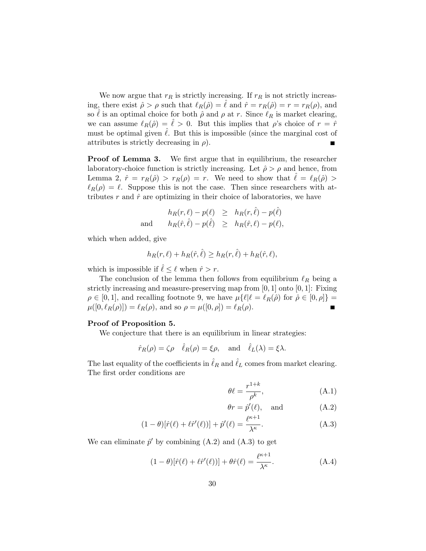We now argue that  $r_R$  is strictly increasing. If  $r_R$  is not strictly increasing, there exist  $\hat{\rho} > \rho$  such that  $\ell_R(\hat{\rho}) = \ell$  and  $\hat{r} = r_R(\hat{\rho}) = r = r_R(\rho)$ , and so  $\hat{\ell}$  is an optimal choice for both  $\hat{\rho}$  and  $\rho$  at r. Since  $\ell_R$  is market clearing, we can assume  $\ell_R(\hat{\rho}) = \hat{\ell} > 0$ . But this implies that  $\rho$ 's choice of  $r = \hat{r}$ must be optimal given  $\ell$ . But this is impossible (since the marginal cost of attributes is strictly decreasing in  $\rho$ ).

**Proof of Lemma 3.** We first argue that in equilibrium, the researcher laboratory-choice function is strictly increasing. Let  $\hat{\rho} > \rho$  and hence, from Lemma 2,  $\hat{r} = r_R(\hat{\rho}) > r_R(\rho) = r$ . We need to show that  $\hat{\ell} = \ell_R(\hat{\rho}) >$  $\ell_R(\rho) = \ell$ . Suppose this is not the case. Then since researchers with attributes  $r$  and  $\hat{r}$  are optimizing in their choice of laboratories, we have

$$
h_R(r,\ell) - p(\ell) \geq h_R(r,\hat{\ell}) - p(\hat{\ell})
$$
  
and 
$$
h_R(\hat{r},\hat{\ell}) - p(\hat{\ell}) \geq h_R(\hat{r},\ell) - p(\ell),
$$

which when added, give

$$
h_R(r,\ell) + h_R(\hat{r},\hat{\ell}) \ge h_R(r,\hat{\ell}) + h_R(\hat{r},\ell),
$$

which is impossible if  $\hat{\ell} \leq \ell$  when  $\hat{r} > r$ .

The conclusion of the lemma then follows from equilibrium  $\ell_R$  being a strictly increasing and measure-preserving map from  $[0, 1]$  onto  $[0, 1]$ : Fixing  $\rho \in [0, 1]$ , and recalling footnote 9, we have  $\mu\{\ell | \ell = \ell_R(\hat{\rho}) \text{ for } \hat{\rho} \in [0, \rho] \} = \mu([0, \ell_P(\rho)]) = \ell_P(\rho)$ . and so  $\rho = \mu([0, \rho]) = \ell_P(\rho)$ .  $\mu([0, \ell_R(\rho)]) = \ell_R(\rho)$ , and so  $\rho = \mu([0, \rho]) = \ell_R(\rho)$ .

#### Proof of Proposition 5.

We conjecture that there is an equilibrium in linear strategies:

$$
\hat{r}_R(\rho) = \zeta \rho \quad \hat{\ell}_R(\rho) = \xi \rho, \text{ and } \hat{\ell}_L(\lambda) = \xi \lambda.
$$

The last equality of the coefficients in  $\hat{\ell}_R$  and  $\hat{\ell}_L$  comes from market clearing. The first order conditions are

$$
\theta \ell = \frac{r^{1+k}}{\rho^k},\tag{A.1}
$$

$$
\theta r = \hat{p}'(\ell), \quad \text{and} \tag{A.2}
$$

$$
(1 - \theta)[\hat{r}(\ell) + \ell \hat{r}'(\ell))] + \hat{p}'(\ell) = \frac{\ell^{\kappa+1}}{\lambda^{\kappa}}.
$$
\n(A.3)

We can eliminate  $\hat{p}'$  by combining  $(A.2)$  and  $(A.3)$  to get

$$
(1 - \theta)[\hat{r}(\ell) + \ell \hat{r}'(\ell))] + \theta \hat{r}(\ell) = \frac{\ell^{\kappa + 1}}{\lambda^{\kappa}}.
$$
 (A.4)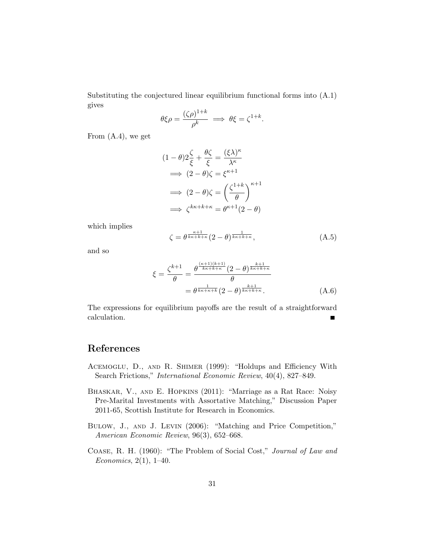Substituting the conjectured linear equilibrium functional forms into (A.1) gives  $\ddotsc$ 

$$
\theta \xi \rho = \frac{(\zeta \rho)^{1+k}}{\rho^k} \implies \theta \xi = \zeta^{1+k}.
$$

From (A.4), we get

$$
(1 - \theta)2\frac{\zeta}{\xi} + \frac{\theta\zeta}{\xi} = \frac{(\xi\lambda)^{\kappa}}{\lambda^{\kappa}}
$$
  
\n
$$
\implies (2 - \theta)\zeta = {\zeta^{\kappa+1}}
$$
  
\n
$$
\implies (2 - \theta)\zeta = \left(\frac{\zeta^{1+k}}{\theta}\right)^{\kappa+1}
$$
  
\n
$$
\implies \zeta^{k\kappa + k + \kappa} = \theta^{\kappa+1}(2 - \theta)
$$

which implies

$$
\zeta = \theta^{\frac{\kappa+1}{k\kappa+k+\kappa}} (2-\theta)^{\frac{1}{k\kappa+k+\kappa}},\tag{A.5}
$$

and so

$$
\xi = \frac{\zeta^{k+1}}{\theta} = \frac{\theta^{\frac{(\kappa+1)(k+1)}{k\kappa+k+\kappa}}(2-\theta)^{\frac{k+1}{k\kappa+k+\kappa}}}{\theta} = \theta^{\frac{1}{k\kappa+\kappa+k}}(2-\theta)^{\frac{k+1}{k\kappa+k+\kappa}}.
$$
(A.6)

The expressions for equilibrium payoffs are the result of a straightforward calculation.

## References

- Acemoglu, D., and R. Shimer (1999): "Holdups and Efficiency With Search Frictions," International Economic Review, 40(4), 827–849.
- Bhaskar, V., and E. Hopkins (2011): "Marriage as a Rat Race: Noisy Pre-Marital Investments with Assortative Matching," Discussion Paper 2011-65, Scottish Institute for Research in Economics.
- Bulow, J., and J. Levin (2006): "Matching and Price Competition," American Economic Review, 96(3), 652–668.
- Coase, R. H. (1960): "The Problem of Social Cost," Journal of Law and Economics, 2(1), 1–40.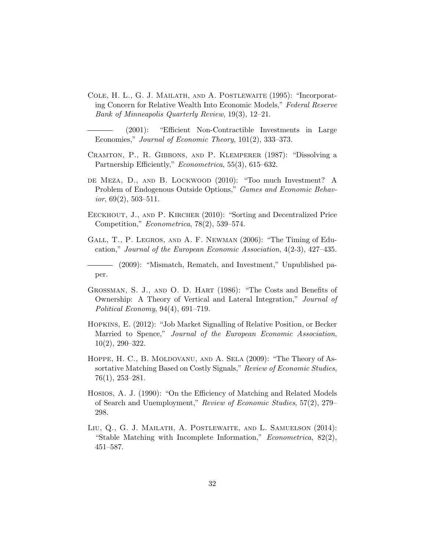Cole, H. L., G. J. Mailath, and A. Postlewaite (1995): "Incorporating Concern for Relative Wealth Into Economic Models," Federal Reserve Bank of Minneapolis Quarterly Review, 19(3), 12–21.

(2001): "Efficient Non-Contractible Investments in Large Economies," Journal of Economic Theory, 101(2), 333–373.

- Cramton, P., R. Gibbons, and P. Klemperer (1987): "Dissolving a Partnership Efficiently," *Econometrica*, 55(3), 615–632.
- de Meza, D., and B. Lockwood (2010): "Too much Investment? A Problem of Endogenous Outside Options," Games and Economic Behavior,  $69(2)$ ,  $503-511$ .
- Eeckhout, J., and P. Kircher (2010): "Sorting and Decentralized Price Competition," Econometrica, 78(2), 539–574.
- Gall, T., P. Legros, and A. F. Newman (2006): "The Timing of Education," Journal of the European Economic Association, 4(2-3), 427–435.
- (2009): "Mismatch, Rematch, and Investment," Unpublished paper.
- Grossman, S. J., and O. D. Hart (1986): "The Costs and Benefits of Ownership: A Theory of Vertical and Lateral Integration," Journal of Political Economy, 94(4), 691–719.
- Hopkins, E. (2012): "Job Market Signalling of Relative Position, or Becker Married to Spence," Journal of the European Economic Association, 10(2), 290–322.
- HOPPE, H. C., B. MOLDOVANU, AND A. SELA (2009): "The Theory of Assortative Matching Based on Costly Signals," Review of Economic Studies, 76(1), 253–281.
- Hosios, A. J. (1990): "On the Efficiency of Matching and Related Models of Search and Unemployment," Review of Economic Studies, 57(2), 279– 298.
- Liu, Q., G. J. Mailath, A. Postlewaite, and L. Samuelson (2014): "Stable Matching with Incomplete Information," Econometrica, 82(2), 451–587.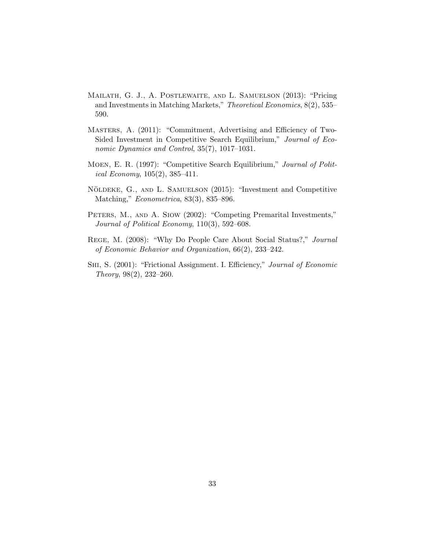- Mailath, G. J., A. Postlewaite, and L. Samuelson (2013): "Pricing and Investments in Matching Markets," Theoretical Economics, 8(2), 535– 590.
- Masters, A. (2011): "Commitment, Advertising and Efficiency of Two-Sided Investment in Competitive Search Equilibrium," Journal of Economic Dynamics and Control, 35(7), 1017–1031.
- Moen, E. R. (1997): "Competitive Search Equilibrium," Journal of Political Economy,  $105(2)$ ,  $385-411$ .
- NÖLDEKE, G., AND L. SAMUELSON (2015): "Investment and Competitive Matching," Econometrica, 83(3), 835–896.
- PETERS, M., AND A. SIOW (2002): "Competing Premarital Investments," Journal of Political Economy, 110(3), 592–608.
- Rege, M. (2008): "Why Do People Care About Social Status?," Journal of Economic Behavior and Organization, 66(2), 233–242.
- Shi, S. (2001): "Frictional Assignment. I. Efficiency," Journal of Economic Theory, 98(2), 232–260.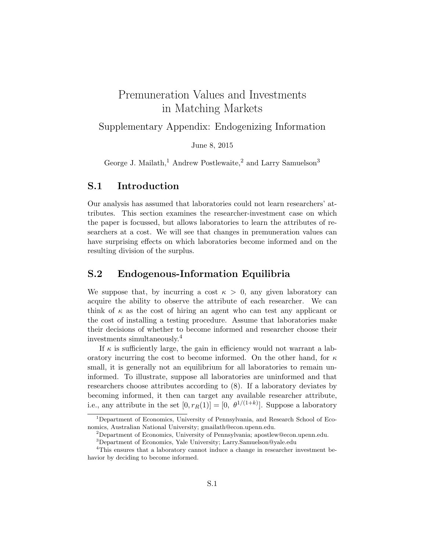## Premuneration Values and Investments in Matching Markets

### Supplementary Appendix: Endogenizing Information

June 8, 2015

George J. Mailath,<sup>1</sup> Andrew Postlewaite,<sup>2</sup> and Larry Samuelson<sup>3</sup>

### S.1 Introduction

Our analysis has assumed that laboratories could not learn researchers' attributes. This section examines the researcher-investment case on which the paper is focussed, but allows laboratories to learn the attributes of researchers at a cost. We will see that changes in premuneration values can have surprising effects on which laboratories become informed and on the resulting division of the surplus.

## S.2 Endogenous-Information Equilibria

We suppose that, by incurring a cost  $\kappa > 0$ , any given laboratory can acquire the ability to observe the attribute of each researcher. We can think of  $\kappa$  as the cost of hiring an agent who can test any applicant or the cost of installing a testing procedure. Assume that laboratories make their decisions of whether to become informed and researcher choose their investments simultaneously.<sup>4</sup>

If  $\kappa$  is sufficiently large, the gain in efficiency would not warrant a laboratory incurring the cost to become informed. On the other hand, for  $\kappa$ small, it is generally not an equilibrium for all laboratories to remain uninformed. To illustrate, suppose all laboratories are uninformed and that researchers choose attributes according to (8). If a laboratory deviates by becoming informed, it then can target any available researcher attribute, i.e., any attribute in the set  $[0, r_R(1)] = [0, \theta^{1/(1+k)}]$ . Suppose a laboratory

<sup>1</sup>Department of Economics, University of Pennsylvania, and Research School of Economics, Australian National University; gmailath@econ.upenn.edu.

<sup>2</sup>Department of Economics, University of Pennsylvania; apostlew@econ.upenn.edu.

<sup>3</sup>Department of Economics, Yale University; Larry.Samuelson@yale.edu

<sup>4</sup>This ensures that a laboratory cannot induce a change in researcher investment behavior by deciding to become informed.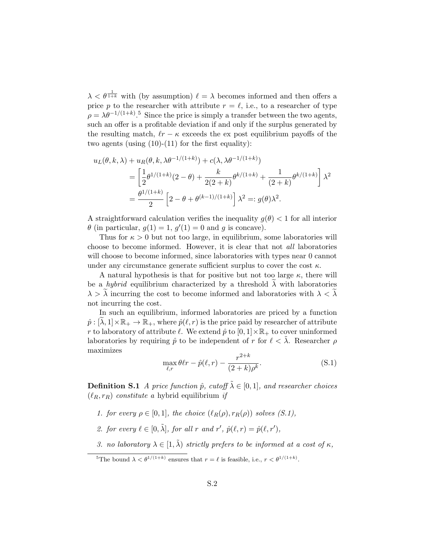$\lambda < \theta^{\frac{1}{1+k}}$  with (by assumption)  $\ell = \lambda$  becomes informed and then offers a price p to the researcher with attribute  $r = \ell$ , i.e., to a researcher of type  $\rho = \lambda \theta^{-1/(1+k)}$ .<sup>5</sup> Since the price is simply a transfer between the two agents, such an offer is a profitable deviation if and only if the surplus generated by the resulting match,  $\ell r - \kappa$  exceeds the ex post equilibrium payoffs of the two agents (using  $(10)-(11)$  for the first equality):

$$
u_L(\theta, k, \lambda) + u_R(\theta, k, \lambda \theta^{-1/(1+k)}) + c(\lambda, \lambda \theta^{-1/(1+k)})
$$
  
=  $\left[\frac{1}{2}\theta^{1/(1+k)}(2-\theta) + \frac{k}{2(2+k)}\theta^{k/(1+k)} + \frac{1}{(2+k)}\theta^{k/(1+k)}\right]\lambda^2$   
=  $\frac{\theta^{1/(1+k)}}{2}\left[2 - \theta + \theta^{(k-1)/(1+k)}\right]\lambda^2 =: g(\theta)\lambda^2.$ 

A straightforward calculation verifies the inequality  $g(\theta) < 1$  for all interior  $\theta$  (in particular,  $g(1) = 1$ ,  $g'(1) = 0$  and g is concave).

Thus for  $\kappa > 0$  but not too large, in equilibrium, some laboratories will choose to become informed. However, it is clear that not all laboratories will choose to become informed, since laboratories with types near 0 cannot under any circumstance generate sufficient surplus to cover the cost  $\kappa$ .

A natural hypothesis is that for positive but not too large  $\kappa$ , there will be a *hybrid* equilibrium characterized by a threshold  $\lambda$  with laboratories  $\lambda > \lambda$  incurring the cost to become informed and laboratories with  $\lambda < \lambda$ not incurring the cost.

In such an equilibrium, informed laboratories are priced by a function  $\hat{p}: [\lambda, 1] \times \mathbb{R}_+ \to \mathbb{R}_+$ , where  $\hat{p}(\ell, r)$  is the price paid by researcher of attribute r to laboratory of attribute  $\ell$ . We extend  $\hat{p}$  to  $[0, 1] \times \mathbb{R}_+$  to cover uninformed laboratories by requiring  $\hat{p}$  to be independent of r for  $\ell < \tilde{\lambda}$ . Researcher  $\rho$ maximizes  $2 + k$ 

$$
\max_{\ell,r} \theta \ell r - \hat{p}(\ell,r) - \frac{r^{2+k}}{(2+k)\rho^k}.\tag{S.1}
$$

**Definition S.1** A price function  $\hat{p}$ , cutoff  $\tilde{\lambda} \in [0, 1]$ , and researcher choices  $(\ell_R, r_R)$  constitute a hybrid equilibrium if

- 1. for every  $\rho \in [0,1]$ , the choice  $(\ell_R(\rho), r_R(\rho))$  solves  $(S.1)$ ,
- 2. for every  $\ell \in [0, \tilde{\lambda}],$  for all r and r',  $\hat{p}(\ell, r) = \hat{p}(\ell, r'),$
- 3. no laboratory  $\lambda \in [1, \lambda)$  strictly prefers to be informed at a cost of  $\kappa$ ,

<sup>&</sup>lt;sup>5</sup>The bound  $\lambda < \theta^{1/(1+k)}$  ensures that  $r = \ell$  is feasible, i.e.,  $r < \theta^{1/(1+k)}$ .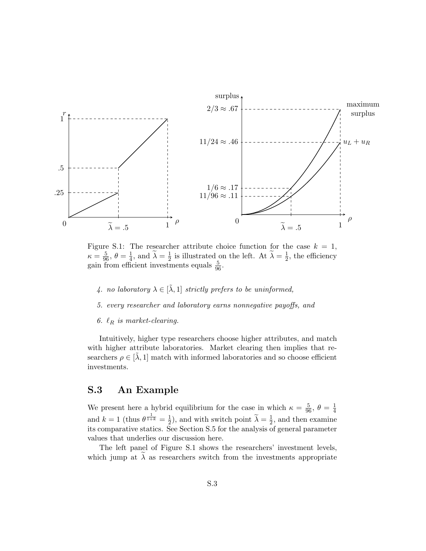

Figure S.1: The researcher attribute choice function for the case  $k = 1$ ,  $\kappa=\frac{5}{96},\,\theta=\frac{1}{4}$  $\frac{1}{4}$ , and  $\widetilde{\lambda} = \frac{1}{2}$  $\frac{1}{2}$  is illustrated on the left. At  $\widetilde{\lambda} = \frac{1}{2}$  $\frac{1}{2}$ , the efficiency gain from efficient investments equals  $\frac{5}{96}$ .

- 4. no laboratory  $\lambda \in [\tilde{\lambda}, 1]$  strictly prefers to be uninformed,
- 5. every researcher and laboratory earns nonnegative payoffs, and
- 6.  $\ell_R$  is market-clearing.

Intuitively, higher type researchers choose higher attributes, and match with higher attribute laboratories. Market clearing then implies that researchers  $\rho \in [\lambda, 1]$  match with informed laboratories and so choose efficient investments.

## S.3 An Example

We present here a hybrid equilibrium for the case in which  $\kappa = \frac{5}{96}, \theta = \frac{1}{4}$ 4 and  $k = 1$  (thus  $\theta^{\frac{1}{1+k}} = \frac{1}{2}$ )  $(\frac{1}{2})$ , and with switch point  $\widetilde{\lambda} = \frac{1}{2}$  $\frac{1}{2}$ , and then examine its comparative statics. See Section S.5 for the analysis of general parameter values that underlies our discussion here.

The left panel of Figure S.1 shows the researchers' investment levels, which jump at  $\lambda$  as researchers switch from the investments appropriate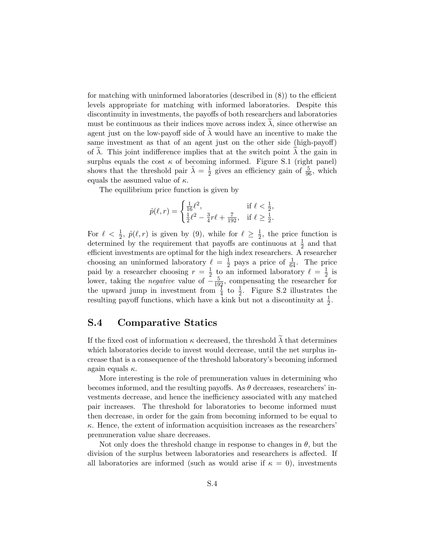for matching with uninformed laboratories (described in (8)) to the efficient levels appropriate for matching with informed laboratories. Despite this discontinuity in investments, the payoffs of both researchers and laboratories must be continuous as their indices move across index  $\lambda$ , since otherwise an agent just on the low-payoff side of  $\lambda$  would have an incentive to make the same investment as that of an agent just on the other side (high-payoff) of  $\lambda$ . This joint indifference implies that at the switch point  $\lambda$  the gain in surplus equals the cost  $\kappa$  of becoming informed. Figure S.1 (right panel) shows that the threshold pair  $\tilde{\lambda} = \frac{1}{2}$  $\frac{1}{2}$  gives an efficiency gain of  $\frac{5}{96}$ , which equals the assumed value of  $\kappa$ .

The equilibrium price function is given by

$$
\hat{p}(\ell, r) = \begin{cases} \frac{1}{16}\ell^2, & \text{if } \ell < \frac{1}{2},\\ \frac{1}{2}\ell^2 - \frac{3}{4}r\ell + \frac{7}{192}, & \text{if } \ell \ge \frac{1}{2}. \end{cases}
$$

For  $\ell < \frac{1}{2}$ ,  $\hat{p}(\ell, r)$  is given by (9), while for  $\ell \geq \frac{1}{2}$  $\frac{1}{2}$ , the price function is determined by the requirement that payoffs are continuous at  $\frac{1}{2}$  and that efficient investments are optimal for the high index researchers. A researcher choosing an uninformed laboratory  $\ell = \frac{1}{2}$  $\frac{1}{2}$  pays a price of  $\frac{1}{64}$ . The price paid by a researcher choosing  $r = \frac{1}{2}$  to an informed laboratory  $\ell = \frac{1}{2}$  is paid by a researcher choosing  $\ell = \frac{1}{2}$  to an informed raboratory  $\ell = \frac{1}{2}$  is<br>lower, taking the *negative* value of  $-\frac{5}{192}$ , compensating the researcher for the upward jump in investment from  $\frac{1}{4}$  to  $\frac{1}{2}$ . Figure S.2 illustrates the resulting payoff functions, which have a kink but not a discontinuity at  $\frac{1}{2}$ .

## S.4 Comparative Statics

If the fixed cost of information  $\kappa$  decreased, the threshold  $\lambda$  that determines which laboratories decide to invest would decrease, until the net surplus increase that is a consequence of the threshold laboratory's becoming informed again equals  $\kappa$ .

More interesting is the role of premuneration values in determining who becomes informed, and the resulting payoffs. As  $\theta$  decreases, researchers' investments decrease, and hence the inefficiency associated with any matched pair increases. The threshold for laboratories to become informed must then decrease, in order for the gain from becoming informed to be equal to  $\kappa$ . Hence, the extent of information acquisition increases as the researchers' premuneration value share decreases.

Not only does the threshold change in response to changes in  $\theta$ , but the division of the surplus between laboratories and researchers is affected. If all laboratories are informed (such as would arise if  $\kappa = 0$ ), investments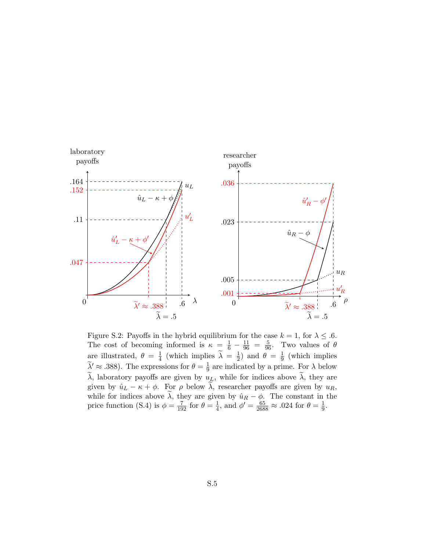

Figure S.2: Payoffs in the hybrid equilibrium for the case  $k = 1$ , for  $\lambda \leq .6$ . The cost of becoming informed is  $\kappa = \frac{1}{6} - \frac{11}{96} = \frac{5}{96}$ . Two values of  $\theta$ are illustrated,  $\theta = \frac{1}{4}$  $\frac{1}{4}$  (which implies  $\widetilde{\lambda} = \frac{1}{2}$  $\frac{1}{2}$ ) and  $\theta = \frac{1}{9}$  $\frac{1}{9}$  (which implies  $\widetilde{\lambda}' \approx .388$ . The expressions for  $\theta = \frac{1}{9}$  $\frac{1}{9}$  are indicated by a prime. For  $\lambda$  below  $\tilde{\lambda}$ , laboratory payoffs are given by  $u<sub>L</sub>$ , while for indices above  $\tilde{\lambda}$ , they are given by  $\hat{u}_L - \kappa + \phi$ . For  $\rho$  below  $\tilde{\lambda}$ , researcher payoffs are given by  $u_R$ , while for indices above  $\lambda$ , they are given by  $\hat{u}_R - \phi$ . The constant in the price function (S.4) is  $\phi = \frac{7}{192}$  for  $\theta = \frac{1}{4}$  $\frac{1}{4}$ , and  $\phi' = \frac{65}{2688} \approx .024$  for  $\theta = \frac{1}{9}$  $\frac{1}{9}$ .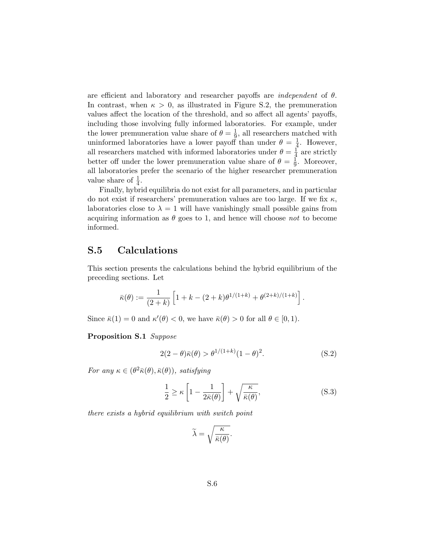are efficient and laboratory and researcher payoffs are *independent* of  $\theta$ . In contrast, when  $\kappa > 0$ , as illustrated in Figure S.2, the premuneration values affect the location of the threshold, and so affect all agents' payoffs, including those involving fully informed laboratories. For example, under the lower premuneration value share of  $\theta = \frac{1}{9}$  $\frac{1}{9}$ , all researchers matched with uninformed laboratories have a lower payoff than under  $\theta = \frac{1}{4}$  $\frac{1}{4}$ . However, all researchers matched with informed laboratories under  $\theta = \frac{1}{4}$  $\frac{1}{4}$  are strictly better off under the lower premuneration value share of  $\theta = \frac{1}{9}$  $\frac{1}{9}$ . Moreover, all laboratories prefer the scenario of the higher researcher premuneration value share of  $\frac{1}{4}$ .

Finally, hybrid equilibria do not exist for all parameters, and in particular do not exist if researchers' premuneration values are too large. If we fix  $\kappa$ , laboratories close to  $\lambda = 1$  will have vanishingly small possible gains from acquiring information as  $\theta$  goes to 1, and hence will choose not to become informed.

## S.5 Calculations

This section presents the calculations behind the hybrid equilibrium of the preceding sections. Let

$$
\bar{\kappa}(\theta) := \frac{1}{(2+k)} \left[ 1 + k - (2+k)\theta^{1/(1+k)} + \theta^{(2+k)/(1+k)} \right].
$$

Since  $\bar{\kappa}(1) = 0$  and  $\kappa'(\theta) < 0$ , we have  $\bar{\kappa}(\theta) > 0$  for all  $\theta \in [0, 1)$ .

Proposition S.1 Suppose

$$
2(2 - \theta)\bar{\kappa}(\theta) > \theta^{1/(1+k)}(1 - \theta)^2.
$$
 (S.2)

For any  $\kappa \in (\theta^2 \bar{\kappa}(\theta), \bar{\kappa}(\theta))$ , satisfying

$$
\frac{1}{2} \ge \kappa \left[ 1 - \frac{1}{2\bar{\kappa}(\theta)} \right] + \sqrt{\frac{\kappa}{\bar{\kappa}(\theta)}},\tag{S.3}
$$

there exists a hybrid equilibrium with switch point

$$
\widetilde{\lambda} = \sqrt{\frac{\kappa}{\bar{\kappa}(\theta)}}.
$$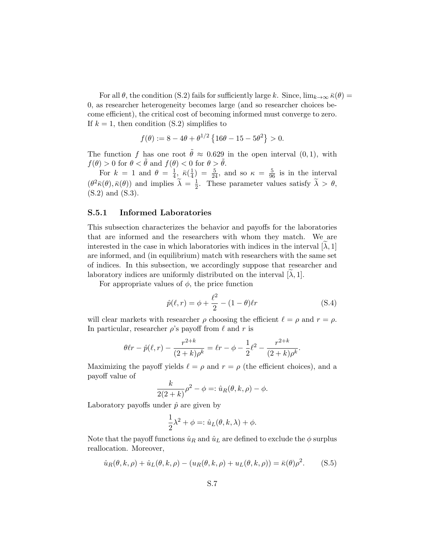For all  $\theta$ , the condition (S.2) fails for sufficiently large k. Since,  $\lim_{k\to\infty} \bar{\kappa}(\theta) =$ 0, as researcher heterogeneity becomes large (and so researcher choices become efficient), the critical cost of becoming informed must converge to zero. If  $k = 1$ , then condition (S.2) simplifies to

$$
f(\theta) := 8 - 4\theta + \theta^{1/2} \left\{ 16\theta - 15 - 5\theta^2 \right\} > 0.
$$

The function f has one root  $\tilde{\theta} \approx 0.629$  in the open interval  $(0, 1)$ , with  $f(\theta) > 0$  for  $\theta < \tilde{\theta}$  and  $f(\theta) < 0$  for  $\theta > \tilde{\theta}$ .

For  $k = 1$  and  $\theta = \frac{1}{4}$  $\frac{1}{4}$ ,  $\bar{\kappa}(\frac{1}{4})$  $\frac{1}{4}$ ) =  $\frac{5}{24}$ , and so  $\kappa = \frac{5}{96}$  is in the interval  $(\theta^2 \bar{\kappa}(\theta), \bar{\kappa}(\theta))$  and implies  $\tilde{\lambda} = \frac{1}{2}$  $\frac{1}{2}$ . These parameter values satisfy  $\lambda > \theta$ , (S.2) and (S.3).

#### S.5.1 Informed Laboratories

This subsection characterizes the behavior and payoffs for the laboratories that are informed and the researchers with whom they match. We are interested in the case in which laboratories with indices in the interval  $[\lambda, 1]$ are informed, and (in equilibrium) match with researchers with the same set of indices. In this subsection, we accordingly suppose that researcher and laboratory indices are uniformly distributed on the interval  $[\lambda, 1]$ .

For appropriate values of  $\phi$ , the price function

$$
\hat{p}(\ell, r) = \phi + \frac{\ell^2}{2} - (1 - \theta)\ell r \tag{S.4}
$$

will clear markets with researcher  $\rho$  choosing the efficient  $\ell = \rho$  and  $r = \rho$ . In particular, researcher  $\rho$ 's payoff from  $\ell$  and r is

$$
\theta \ell r - \hat{p}(\ell, r) - \frac{r^{2+k}}{(2+k)\rho^k} = \ell r - \phi - \frac{1}{2}\ell^2 - \frac{r^{2+k}}{(2+k)\rho^k}.
$$

Maximizing the payoff yields  $\ell = \rho$  and  $r = \rho$  (the efficient choices), and a payoff value of

$$
\frac{k}{2(2+k)}\rho^2 - \phi =: \hat{u}_R(\theta, k, \rho) - \phi.
$$

Laboratory payoffs under  $\hat{p}$  are given by

$$
\frac{1}{2}\lambda^2 + \phi =: \hat{u}_L(\theta, k, \lambda) + \phi.
$$

Note that the payoff functions  $\hat{u}_R$  and  $\hat{u}_L$  are defined to exclude the  $\phi$  surplus reallocation. Moreover,

$$
\hat{u}_R(\theta, k, \rho) + \hat{u}_L(\theta, k, \rho) - (u_R(\theta, k, \rho) + u_L(\theta, k, \rho)) = \bar{\kappa}(\theta)\rho^2.
$$
 (S.5)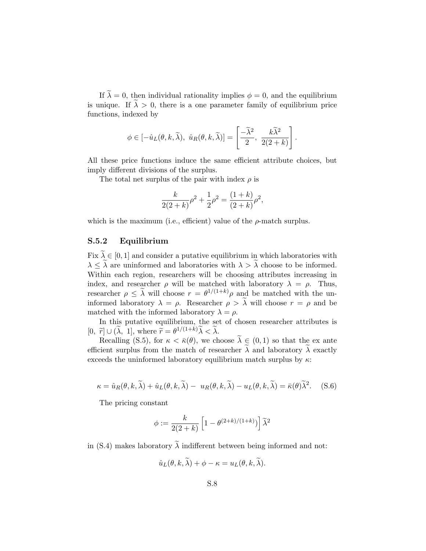If  $\tilde{\lambda} = 0$ , then individual rationality implies  $\phi = 0$ , and the equilibrium is unique. If  $\tilde{\lambda} > 0$ , there is a one parameter family of equilibrium price functions, indexed by

$$
\phi \in [-\hat{u}_L(\theta, k, \tilde{\lambda}), \ \hat{u}_R(\theta, k, \tilde{\lambda})] = \left[\frac{-\tilde{\lambda}^2}{2}, \ \frac{k\tilde{\lambda}^2}{2(2+k)}\right].
$$

All these price functions induce the same efficient attribute choices, but imply different divisions of the surplus.

The total net surplus of the pair with index  $\rho$  is

$$
\frac{k}{2(2+k)}\rho^2 + \frac{1}{2}\rho^2 = \frac{(1+k)}{(2+k)}\rho^2,
$$

which is the maximum (i.e., efficient) value of the  $\rho$ -match surplus.

#### S.5.2 Equilibrium

Fix  $\lambda \in [0, 1]$  and consider a putative equilibrium in which laboratories with  $\lambda \leq \lambda$  are uninformed and laboratories with  $\lambda > \lambda$  choose to be informed. Within each region, researchers will be choosing attributes increasing in index, and researcher  $\rho$  will be matched with laboratory  $\lambda = \rho$ . Thus, researcher  $\rho \leq \lambda$  will choose  $r = \theta^{1/(1+k)} \rho$  and be matched with the uninformed laboratory  $\lambda = \rho$ . Researcher  $\rho > \tilde{\lambda}$  will choose  $r = \rho$  and be matched with the informed laboratory  $\lambda = \rho$ .

In this putative equilibrium, the set of chosen researcher attributes is  $[0, \ \tilde{r}] \cup (\lambda, 1],$  where  $\tilde{r} = \theta^{1/(1+k)} \lambda < \lambda.$ 

Recalling (S.5), for  $\kappa < \bar{\kappa}(\theta)$ , we choose  $\tilde{\lambda} \in (0,1)$  so that the ex ante efficient surplus from the match of researcher  $\lambda$  and laboratory  $\lambda$  exactly exceeds the uninformed laboratory equilibrium match surplus by  $\kappa$ :

$$
\kappa = \hat{u}_R(\theta, k, \tilde{\lambda}) + \hat{u}_L(\theta, k, \tilde{\lambda}) - u_R(\theta, k, \tilde{\lambda}) - u_L(\theta, k, \tilde{\lambda}) = \bar{\kappa}(\theta) \tilde{\lambda}^2.
$$
 (S.6)

The pricing constant

$$
\phi := \frac{k}{2(2+k)} \left[ 1 - \theta^{(2+k)/(1+k)} \right] \tilde{\lambda}^2
$$

in (S.4) makes laboratory  $\tilde{\lambda}$  indifferent between being informed and not:

$$
\hat{u}_L(\theta, k, \lambda) + \phi - \kappa = u_L(\theta, k, \lambda).
$$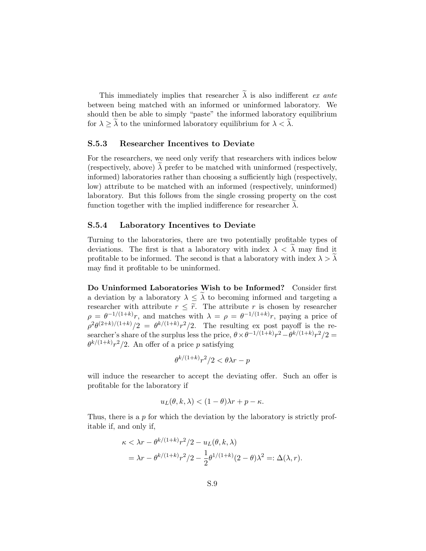This immediately implies that researcher  $\tilde{\lambda}$  is also indifferent ex ante between being matched with an informed or uninformed laboratory. We should then be able to simply "paste" the informed laboratory equilibrium for  $\lambda \geq \lambda$  to the uninformed laboratory equilibrium for  $\lambda < \lambda$ .

#### S.5.3 Researcher Incentives to Deviate

For the researchers, we need only verify that researchers with indices below (respectively, above)  $\lambda$  prefer to be matched with uninformed (respectively, informed) laboratories rather than choosing a sufficiently high (respectively, low) attribute to be matched with an informed (respectively, uninformed) laboratory. But this follows from the single crossing property on the cost function together with the implied indifference for researcher  $\lambda$ .

#### S.5.4 Laboratory Incentives to Deviate

Turning to the laboratories, there are two potentially profitable types of deviations. The first is that a laboratory with index  $\lambda < \lambda$  may find it profitable to be informed. The second is that a laboratory with index  $\lambda > \lambda$ may find it profitable to be uninformed.

Do Uninformed Laboratories Wish to be Informed? Consider first a deviation by a laboratory  $\lambda \leq \tilde{\lambda}$  to becoming informed and targeting a researcher with attribute  $r \leq \tilde{r}$ . The attribute r is chosen by researcher  $\rho = \theta^{-1/(1+k)}r$ , and matches with  $\lambda = \rho = \theta^{-1/(1+k)}r$ , paying a price of  $\rho^2\theta^{(2+k)/(1+k)}/2 = \theta^{k/(1+k)}r^2/2$ . The resulting ex post payoff is the researcher's share of the surplus less the price,  $\theta \times \theta^{-1/(1+k)} r^2 - \theta^{k/(1+k)} r^2/2 =$  $\theta^{k/(1+k)}r^2/2$ . An offer of a price p satisfying

$$
\theta^{k/(1+k)}r^2/2 < \theta\lambda r - p
$$

will induce the researcher to accept the deviating offer. Such an offer is profitable for the laboratory if

$$
u_L(\theta, k, \lambda) < (1 - \theta)\lambda r + p - \kappa.
$$

Thus, there is a  $p$  for which the deviation by the laboratory is strictly profitable if, and only if,

$$
\kappa < \lambda r - \theta^{k/(1+k)} r^2 / 2 - u_L(\theta, k, \lambda)
$$
\n
$$
= \lambda r - \theta^{k/(1+k)} r^2 / 2 - \frac{1}{2} \theta^{1/(1+k)} (2 - \theta) \lambda^2 =: \Delta(\lambda, r).
$$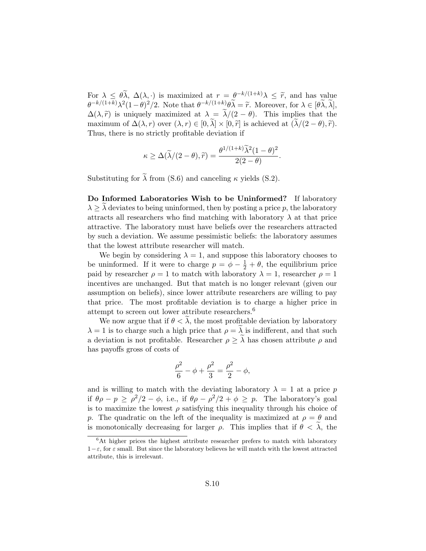For  $\lambda \leq \theta \tilde{\lambda}$ ,  $\Delta(\lambda, \cdot)$  is maximized at  $r = \theta^{-k/(1+k)}\lambda \leq \tilde{r}$ , and has value  $\theta^{-k/(1+k)}\lambda^2(1-\theta)^2/2$ . Note that  $\theta^{-k/(1+k)}\theta \tilde{\lambda} = \tilde{r}$ . Moreover, for  $\lambda \in [\theta \tilde{\lambda}, \tilde{\lambda}],$  $\Delta(\lambda, \tilde{r})$  is uniquely maximized at  $\lambda = \tilde{\lambda}/(2 - \theta)$ . This implies that the maximum of  $\Delta(\lambda, r)$  over  $(\lambda, r) \in [0, \lambda] \times [0, \tilde{r}]$  is achieved at  $(\lambda/(2 - \theta), \tilde{r})$ . Thus, there is no strictly profitable deviation if

$$
\kappa \geq \Delta(\widetilde{\lambda}/(2-\theta), \widetilde{r}) = \frac{\theta^{1/(1+k)}\widetilde{\lambda}^2(1-\theta)^2}{2(2-\theta)}.
$$

Substituting for  $\tilde{\lambda}$  from (S.6) and canceling  $\kappa$  yields (S.2).

Do Informed Laboratories Wish to be Uninformed? If laboratory  $\lambda \geq \lambda$  deviates to being uninformed, then by posting a price p, the laboratory attracts all researchers who find matching with laboratory  $\lambda$  at that price attractive. The laboratory must have beliefs over the researchers attracted by such a deviation. We assume pessimistic beliefs: the laboratory assumes that the lowest attribute researcher will match.

We begin by considering  $\lambda = 1$ , and suppose this laboratory chooses to be uninformed. If it were to charge  $p = \phi - \frac{1}{2} + \theta$ , the equilibrium price paid by researcher  $\rho = 1$  to match with laboratory  $\lambda = 1$ , researcher  $\rho = 1$ incentives are unchanged. But that match is no longer relevant (given our assumption on beliefs), since lower attribute researchers are willing to pay that price. The most profitable deviation is to charge a higher price in attempt to screen out lower attribute researchers.<sup>6</sup>

We now argue that if  $\theta < \lambda$ , the most profitable deviation by laboratory  $\lambda = 1$  is to charge such a high price that  $\rho = \lambda$  is indifferent, and that such a deviation is not profitable. Researcher  $\rho \geq \lambda$  has chosen attribute  $\rho$  and has payoffs gross of costs of

$$
\frac{\rho^2}{6} - \phi + \frac{\rho^2}{3} = \frac{\rho^2}{2} - \phi,
$$

and is willing to match with the deviating laboratory  $\lambda = 1$  at a price p if  $\theta \rho - p \ge \rho^2/2 - \phi$ , i.e., if  $\theta \rho - \rho^2/2 + \phi \ge p$ . The laboratory's goal is to maximize the lowest  $\rho$  satisfying this inequality through his choice of p. The quadratic on the left of the inequality is maximized at  $\rho = \theta$  and is monotonically decreasing for larger  $\rho$ . This implies that if  $\theta < \lambda$ , the

 ${}^{6}$ At higher prices the highest attribute researcher prefers to match with laboratory  $1-\varepsilon$ , for  $\varepsilon$  small. But since the laboratory believes he will match with the lowest attracted attribute, this is irrelevant.